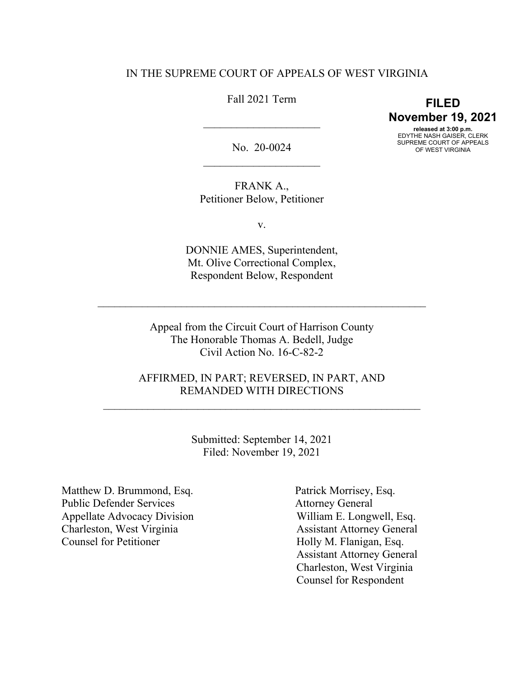# IN THE SUPREME COURT OF APPEALS OF WEST VIRGINIA

# Fall 2021 Term

 $\overline{\phantom{a}}$  , where  $\overline{\phantom{a}}$ 

**FILED November 19, 2021 released at 3:00 p.m.** EDYTHE NASH GAISER, CLERK SUPREME COURT OF APPEALS

OF WEST VIRGINIA

No. 20-0024  $\overline{\phantom{a}}$  , where  $\overline{\phantom{a}}$  , where  $\overline{\phantom{a}}$  , where  $\overline{\phantom{a}}$ 

FRANK A., Petitioner Below, Petitioner

v.

DONNIE AMES, Superintendent, Mt. Olive Correctional Complex, Respondent Below, Respondent

Appeal from the Circuit Court of Harrison County The Honorable Thomas A. Bedell, Judge Civil Action No. 16-C-82-2

 $\mathcal{L}_\text{max}$  , and the contribution of the contribution of the contribution of the contribution of the contribution of the contribution of the contribution of the contribution of the contribution of the contribution of t

AFFIRMED, IN PART; REVERSED, IN PART, AND REMANDED WITH DIRECTIONS

 $\overline{\phantom{a}}$  ,  $\overline{\phantom{a}}$  ,  $\overline{\phantom{a}}$  ,  $\overline{\phantom{a}}$  ,  $\overline{\phantom{a}}$  ,  $\overline{\phantom{a}}$  ,  $\overline{\phantom{a}}$  ,  $\overline{\phantom{a}}$  ,  $\overline{\phantom{a}}$  ,  $\overline{\phantom{a}}$  ,  $\overline{\phantom{a}}$  ,  $\overline{\phantom{a}}$  ,  $\overline{\phantom{a}}$  ,  $\overline{\phantom{a}}$  ,  $\overline{\phantom{a}}$  ,  $\overline{\phantom{a}}$ 

Submitted: September 14, 2021 Filed: November 19, 2021

Matthew D. Brummond, Esq. Public Defender Services Appellate Advocacy Division Charleston, West Virginia Counsel for Petitioner

 Patrick Morrisey, Esq. Attorney General William E. Longwell, Esq. Assistant Attorney General Holly M. Flanigan, Esq. Assistant Attorney General Charleston, West Virginia Counsel for Respondent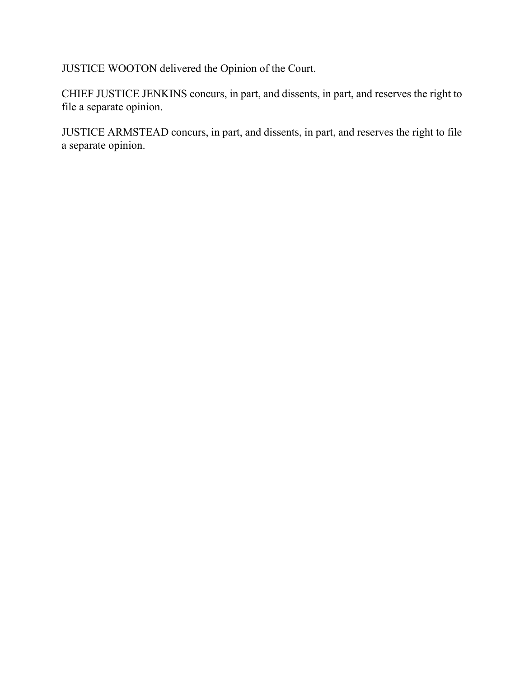JUSTICE WOOTON delivered the Opinion of the Court.

CHIEF JUSTICE JENKINS concurs, in part, and dissents, in part, and reserves the right to file a separate opinion.

JUSTICE ARMSTEAD concurs, in part, and dissents, in part, and reserves the right to file a separate opinion.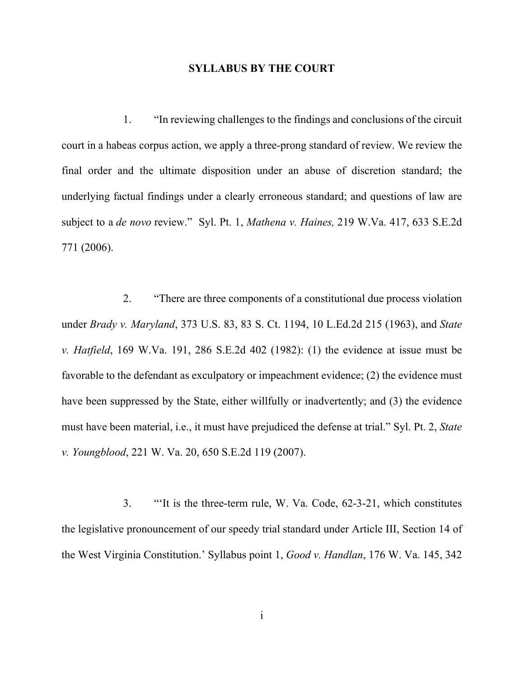### **SYLLABUS BY THE COURT**

1. "In reviewing challenges to the findings and conclusions of the circuit court in a habeas corpus action, we apply a three-prong standard of review. We review the final order and the ultimate disposition under an abuse of discretion standard; the underlying factual findings under a clearly erroneous standard; and questions of law are subject to a *de novo* review." Syl. Pt. 1, *Mathena v. Haines,* 219 W.Va. 417, 633 S.E.2d 771 (2006).

2. "There are three components of a constitutional due process violation under *Brady v. Maryland*, 373 U.S. 83, 83 S. Ct. 1194, 10 L.Ed.2d 215 (1963), and *State v. Hatfield*, 169 W.Va. 191, 286 S.E.2d 402 (1982): (1) the evidence at issue must be favorable to the defendant as exculpatory or impeachment evidence; (2) the evidence must have been suppressed by the State, either willfully or inadvertently; and (3) the evidence must have been material, i.e., it must have prejudiced the defense at trial." Syl. Pt. 2, *State v. Youngblood*, 221 W. Va. 20, 650 S.E.2d 119 (2007).

3. "'It is the three-term rule, W. Va. Code, 62-3-21, which constitutes the legislative pronouncement of our speedy trial standard under Article III, Section 14 of the West Virginia Constitution.' Syllabus point 1, *Good v. Handlan*, 176 W. Va. 145, 342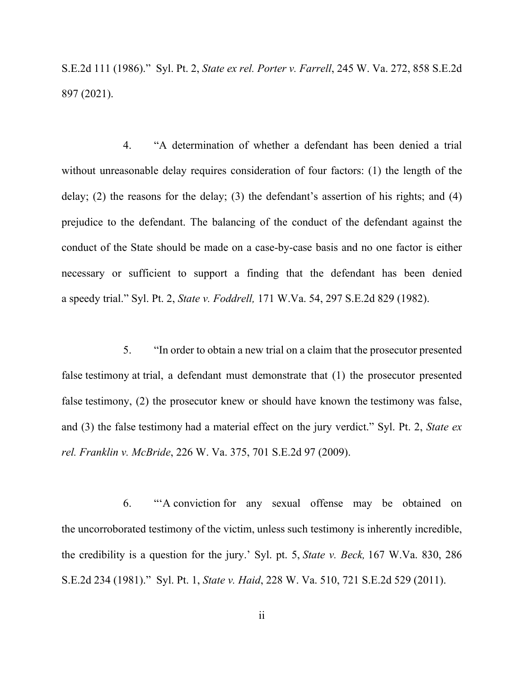S.E.2d 111 (1986)." Syl. Pt. 2, *State ex rel. Porter v. Farrell*, 245 W. Va. 272, 858 S.E.2d 897 (2021).

4. "A determination of whether a defendant has been denied a trial without unreasonable delay requires consideration of four factors: (1) the length of the delay; (2) the reasons for the delay; (3) the defendant's assertion of his rights; and (4) prejudice to the defendant. The balancing of the conduct of the defendant against the conduct of the State should be made on a case-by-case basis and no one factor is either necessary or sufficient to support a finding that the defendant has been denied a speedy trial." Syl. Pt. 2, *State v. Foddrell,* 171 W.Va. 54, 297 S.E.2d 829 (1982).

5. "In order to obtain a new trial on a claim that the prosecutor presented false testimony at trial, a defendant must demonstrate that (1) the prosecutor presented false testimony, (2) the prosecutor knew or should have known the testimony was false, and (3) the false testimony had a material effect on the jury verdict." Syl. Pt. 2, *State ex rel. Franklin v. McBride*, 226 W. Va. 375, 701 S.E.2d 97 (2009).

6. "'A conviction for any sexual offense may be obtained on the uncorroborated testimony of the victim, unless such testimony is inherently incredible, the credibility is a question for the jury.' Syl. pt. 5, *State v. Beck,* 167 W.Va. 830, 286 S.E.2d 234 (1981)." Syl. Pt. 1, *State v. Haid*, 228 W. Va. 510, 721 S.E.2d 529 (2011).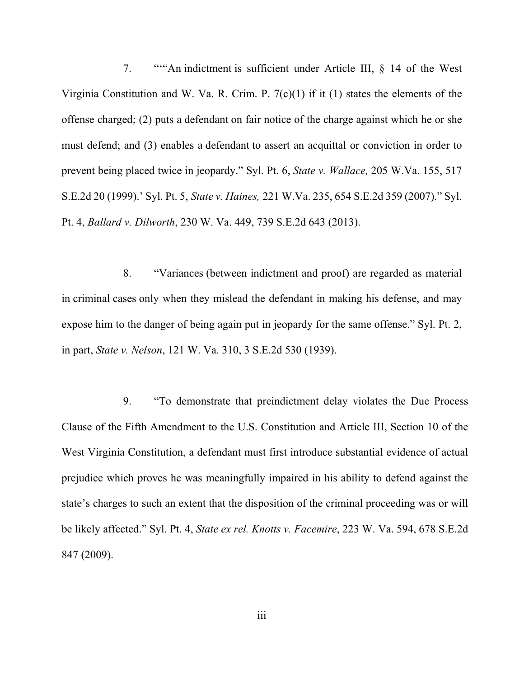7. "'"An indictment is sufficient under Article III, § 14 of the West Virginia Constitution and W. Va. R. Crim. P. 7(c)(1) if it (1) states the elements of the offense charged; (2) puts a defendant on fair notice of the charge against which he or she must defend; and (3) enables a defendant to assert an acquittal or conviction in order to prevent being placed twice in jeopardy." Syl. Pt. 6, *State v. Wallace,* 205 W.Va. 155, 517 S.E.2d 20 (1999).' Syl. Pt. 5, *State v. Haines,* 221 W.Va. 235, 654 S.E.2d 359 (2007)." Syl. Pt. 4, *Ballard v. Dilworth*, 230 W. Va. 449, 739 S.E.2d 643 (2013).

8. "Variances (between indictment and proof) are regarded as material in criminal cases only when they mislead the defendant in making his defense, and may expose him to the danger of being again put in jeopardy for the same offense." Syl. Pt. 2, in part, *State v. Nelson*, 121 W. Va. 310, 3 S.E.2d 530 (1939).

9. "To demonstrate that preindictment delay violates the Due Process Clause of the Fifth Amendment to the U.S. Constitution and Article III, Section 10 of the West Virginia Constitution, a defendant must first introduce substantial evidence of actual prejudice which proves he was meaningfully impaired in his ability to defend against the state's charges to such an extent that the disposition of the criminal proceeding was or will be likely affected." Syl. Pt. 4, *State ex rel. Knotts v. Facemire*, 223 W. Va. 594, 678 S.E.2d 847 (2009).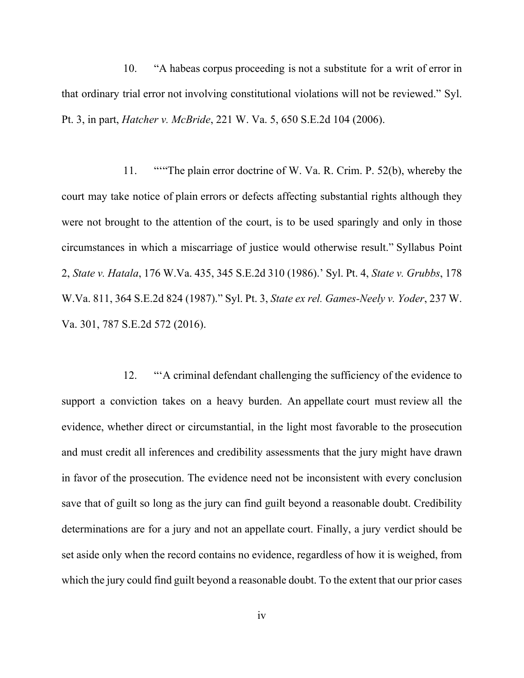10. "A habeas corpus proceeding is not a substitute for a writ of error in that ordinary trial error not involving constitutional violations will not be reviewed." Syl. Pt. 3, in part, *Hatcher v. McBride*, 221 W. Va. 5, 650 S.E.2d 104 (2006).

 11. "'"The plain error doctrine of W. Va. R. Crim. P. 52(b), whereby the court may take notice of plain errors or defects affecting substantial rights although they were not brought to the attention of the court, is to be used sparingly and only in those circumstances in which a miscarriage of justice would otherwise result." Syllabus Point 2, *State v. Hatala*, 176 W.Va. 435, 345 S.E.2d 310 (1986).' Syl. Pt. 4, *State v. Grubbs*, 178 W.Va. 811, 364 S.E.2d 824 (1987)." Syl. Pt. 3, *State ex rel. Games-Neely v. Yoder*, 237 W. Va. 301, 787 S.E.2d 572 (2016).

12. "'A criminal defendant challenging the sufficiency of the evidence to support a conviction takes on a heavy burden. An appellate court must review all the evidence, whether direct or circumstantial, in the light most favorable to the prosecution and must credit all inferences and credibility assessments that the jury might have drawn in favor of the prosecution. The evidence need not be inconsistent with every conclusion save that of guilt so long as the jury can find guilt beyond a reasonable doubt. Credibility determinations are for a jury and not an appellate court. Finally, a jury verdict should be set aside only when the record contains no evidence, regardless of how it is weighed, from which the jury could find guilt beyond a reasonable doubt. To the extent that our prior cases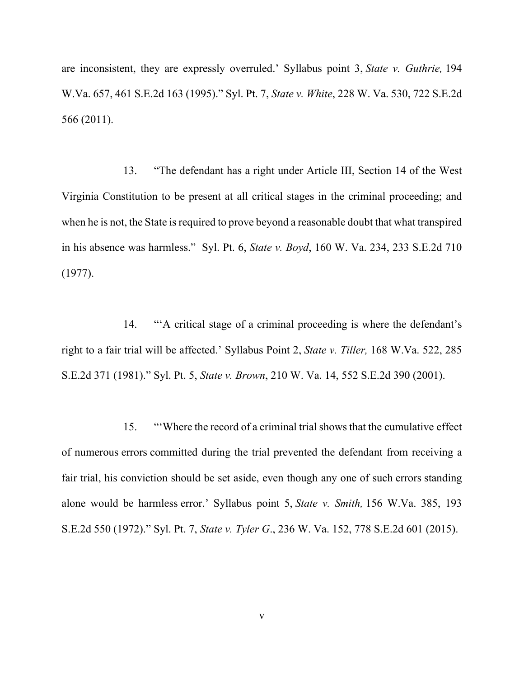are inconsistent, they are expressly overruled.' Syllabus point 3, *State v. Guthrie,* 194 W.Va. 657, 461 S.E.2d 163 (1995)." Syl. Pt. 7, *State v. White*, 228 W. Va. 530, 722 S.E.2d 566 (2011).

13. "The defendant has a right under Article III, Section 14 of the West Virginia Constitution to be present at all critical stages in the criminal proceeding; and when he is not, the State is required to prove beyond a reasonable doubt that what transpired in his absence was harmless." Syl. Pt. 6, *State v. Boyd*, 160 W. Va. 234, 233 S.E.2d 710 (1977).

14. "'A critical stage of a criminal proceeding is where the defendant's right to a fair trial will be affected.' Syllabus Point 2, *State v. Tiller,* 168 W.Va. 522, 285 S.E.2d 371 (1981)." Syl. Pt. 5, *State v. Brown*, 210 W. Va. 14, 552 S.E.2d 390 (2001).

15. "'Where the record of a criminal trial shows that the cumulative effect of numerous errors committed during the trial prevented the defendant from receiving a fair trial, his conviction should be set aside, even though any one of such errors standing alone would be harmless error.' Syllabus point 5, *State v. Smith,* 156 W.Va. 385, 193 S.E.2d 550 (1972)." Syl. Pt. 7, *State v. Tyler G*., 236 W. Va. 152, 778 S.E.2d 601 (2015).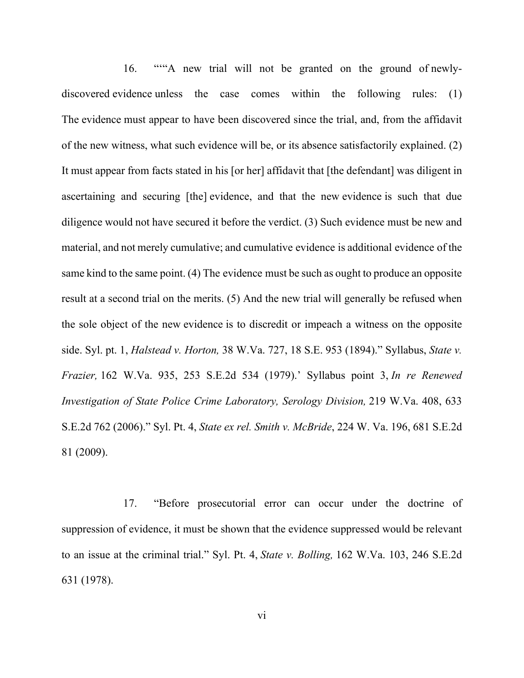16. ""A new trial will not be granted on the ground of newlydiscovered evidence unless the case comes within the following rules: (1) The evidence must appear to have been discovered since the trial, and, from the affidavit of the new witness, what such evidence will be, or its absence satisfactorily explained. (2) It must appear from facts stated in his [or her] affidavit that [the defendant] was diligent in ascertaining and securing [the] evidence, and that the new evidence is such that due diligence would not have secured it before the verdict. (3) Such evidence must be new and material, and not merely cumulative; and cumulative evidence is additional evidence of the same kind to the same point. (4) The evidence must be such as ought to produce an opposite result at a second trial on the merits. (5) And the new trial will generally be refused when the sole object of the new evidence is to discredit or impeach a witness on the opposite side. Syl. pt. 1, *Halstead v. Horton,* 38 W.Va. 727, 18 S.E. 953 (1894)." Syllabus, *State v. Frazier,* 162 W.Va. 935, 253 S.E.2d 534 (1979).' Syllabus point 3, *In re Renewed Investigation of State Police Crime Laboratory, Serology Division,* 219 W.Va. 408, 633 S.E.2d 762 (2006)." Syl. Pt. 4, *State ex rel. Smith v. McBride*, 224 W. Va. 196, 681 S.E.2d 81 (2009).

17. "Before prosecutorial error can occur under the doctrine of suppression of evidence, it must be shown that the evidence suppressed would be relevant to an issue at the criminal trial." Syl. Pt. 4, *State v. Bolling,* 162 W.Va. 103, 246 S.E.2d 631 (1978).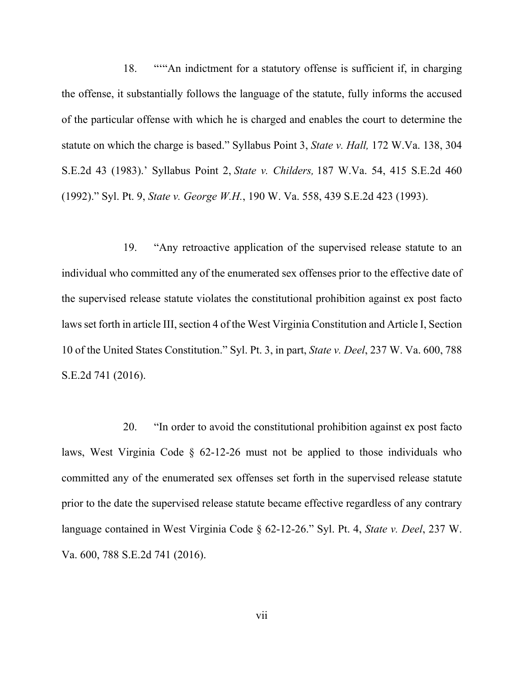18. ""An indictment for a statutory offense is sufficient if, in charging the offense, it substantially follows the language of the statute, fully informs the accused of the particular offense with which he is charged and enables the court to determine the statute on which the charge is based." Syllabus Point 3, *State v. Hall,* 172 W.Va. 138, 304 S.E.2d 43 (1983).' Syllabus Point 2, *State v. Childers,* 187 W.Va. 54, 415 S.E.2d 460 (1992)." Syl. Pt. 9, *State v. George W.H.*, 190 W. Va. 558, 439 S.E.2d 423 (1993).

19. "Any retroactive application of the supervised release statute to an individual who committed any of the enumerated sex offenses prior to the effective date of the supervised release statute violates the constitutional prohibition against ex post facto laws set forth in article III, section 4 of the West Virginia Constitution and Article I, Section 10 of the United States Constitution." Syl. Pt. 3, in part, *State v. Deel*, 237 W. Va. 600, 788 S.E.2d 741 (2016).

20. "In order to avoid the constitutional prohibition against ex post facto laws, West Virginia Code § 62-12-26 must not be applied to those individuals who committed any of the enumerated sex offenses set forth in the supervised release statute prior to the date the supervised release statute became effective regardless of any contrary language contained in West Virginia Code § 62-12-26." Syl. Pt. 4, *State v. Deel*, 237 W. Va. 600, 788 S.E.2d 741 (2016).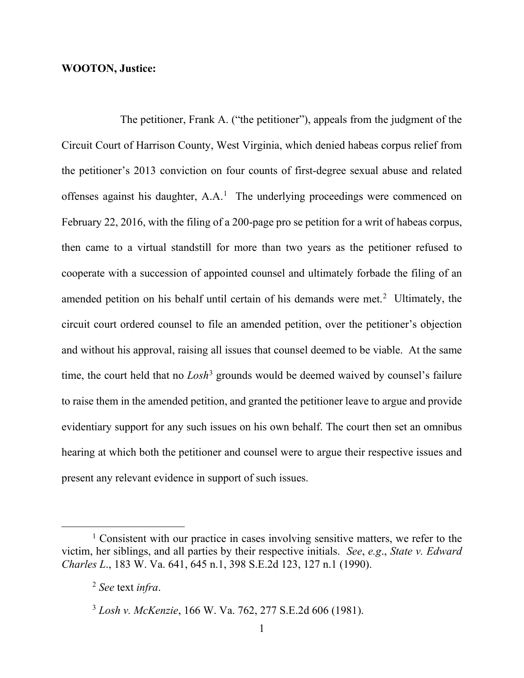# **WOOTON, Justice:**

 The petitioner, Frank A. ("the petitioner"), appeals from the judgment of the Circuit Court of Harrison County, West Virginia, which denied habeas corpus relief from the petitioner's 2013 conviction on four counts of first-degree sexual abuse and related offenses against his daughter,  $A.A.^1$  $A.A.^1$  The underlying proceedings were commenced on February 22, 2016, with the filing of a 200-page pro se petition for a writ of habeas corpus, then came to a virtual standstill for more than two years as the petitioner refused to cooperate with a succession of appointed counsel and ultimately forbade the filing of an amended petition on his behalf until certain of his demands were met.<sup>[2](#page-9-1)</sup> Ultimately, the circuit court ordered counsel to file an amended petition, over the petitioner's objection and without his approval, raising all issues that counsel deemed to be viable. At the same time, the court held that no *Losh*<sup>[3](#page-9-2)</sup> grounds would be deemed waived by counsel's failure to raise them in the amended petition, and granted the petitioner leave to argue and provide evidentiary support for any such issues on his own behalf. The court then set an omnibus hearing at which both the petitioner and counsel were to argue their respective issues and present any relevant evidence in support of such issues.

<span id="page-9-1"></span><span id="page-9-0"></span> $1$  Consistent with our practice in cases involving sensitive matters, we refer to the victim, her siblings, and all parties by their respective initials. *See*, *e.g*., *State v. Edward Charles L*., 183 W. Va. 641, 645 n.1, 398 S.E.2d 123, 127 n.1 (1990).

<sup>2</sup> *See* text *infra*.

<span id="page-9-2"></span><sup>3</sup> *Losh v. McKenzie*, 166 W. Va. 762, 277 S.E.2d 606 (1981).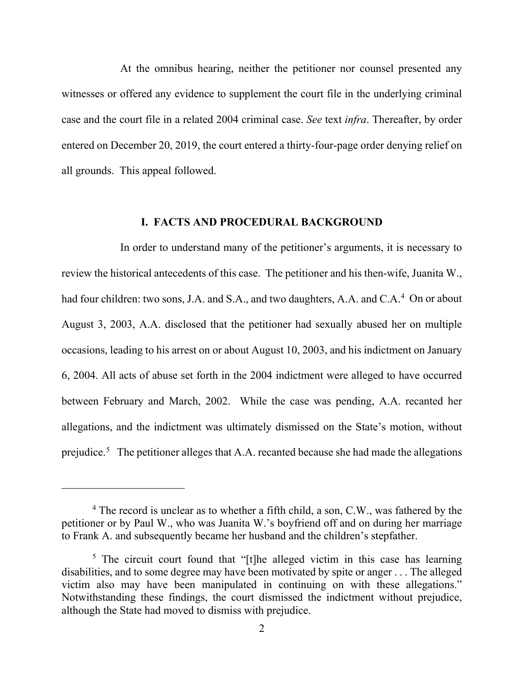At the omnibus hearing, neither the petitioner nor counsel presented any witnesses or offered any evidence to supplement the court file in the underlying criminal case and the court file in a related 2004 criminal case. *See* text *infra*. Thereafter, by order entered on December 20, 2019, the court entered a thirty-four-page order denying relief on all grounds. This appeal followed.

# **I. FACTS AND PROCEDURAL BACKGROUND**

 In order to understand many of the petitioner's arguments, it is necessary to review the historical antecedents of this case. The petitioner and his then-wife, Juanita W., had four children: two sons, J.A. and S.A., and two daughters, A.A. and C.A.<sup>[4](#page-10-0)</sup> On or about August 3, 2003, A.A. disclosed that the petitioner had sexually abused her on multiple occasions, leading to his arrest on or about August 10, 2003, and his indictment on January 6, 2004. All acts of abuse set forth in the 2004 indictment were alleged to have occurred between February and March, 2002. While the case was pending, A.A. recanted her allegations, and the indictment was ultimately dismissed on the State's motion, without prejudice.<sup>[5](#page-10-1)</sup> The petitioner alleges that A.A. recanted because she had made the allegations

<span id="page-10-0"></span><sup>&</sup>lt;sup>4</sup> The record is unclear as to whether a fifth child, a son, C.W., was fathered by the petitioner or by Paul W., who was Juanita W.'s boyfriend off and on during her marriage to Frank A. and subsequently became her husband and the children's stepfather.

<span id="page-10-1"></span><sup>&</sup>lt;sup>5</sup> The circuit court found that "[t]he alleged victim in this case has learning disabilities, and to some degree may have been motivated by spite or anger . . . The alleged victim also may have been manipulated in continuing on with these allegations." Notwithstanding these findings, the court dismissed the indictment without prejudice, although the State had moved to dismiss with prejudice.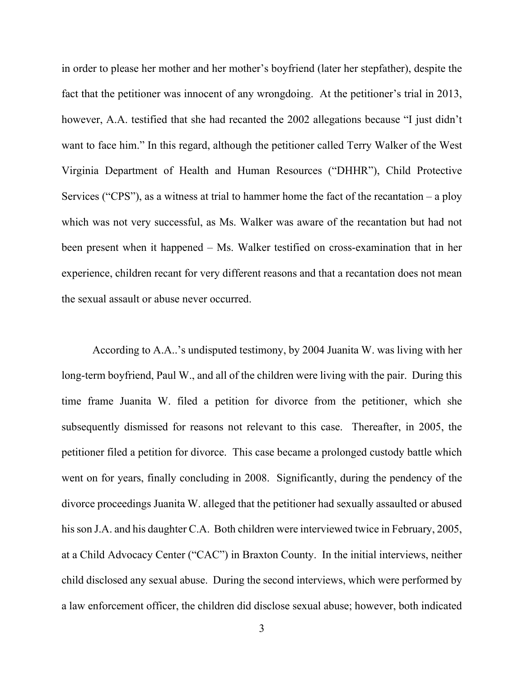in order to please her mother and her mother's boyfriend (later her stepfather), despite the fact that the petitioner was innocent of any wrongdoing. At the petitioner's trial in 2013, however, A.A. testified that she had recanted the 2002 allegations because "I just didn't want to face him." In this regard, although the petitioner called Terry Walker of the West Virginia Department of Health and Human Resources ("DHHR"), Child Protective Services ("CPS"), as a witness at trial to hammer home the fact of the recantation  $-$  a ploy which was not very successful, as Ms. Walker was aware of the recantation but had not been present when it happened – Ms. Walker testified on cross-examination that in her experience, children recant for very different reasons and that a recantation does not mean the sexual assault or abuse never occurred.

According to A.A..'s undisputed testimony, by 2004 Juanita W. was living with her long-term boyfriend, Paul W., and all of the children were living with the pair. During this time frame Juanita W. filed a petition for divorce from the petitioner, which she subsequently dismissed for reasons not relevant to this case. Thereafter, in 2005, the petitioner filed a petition for divorce. This case became a prolonged custody battle which went on for years, finally concluding in 2008. Significantly, during the pendency of the divorce proceedings Juanita W. alleged that the petitioner had sexually assaulted or abused his son J.A. and his daughter C.A. Both children were interviewed twice in February, 2005, at a Child Advocacy Center ("CAC") in Braxton County. In the initial interviews, neither child disclosed any sexual abuse. During the second interviews, which were performed by a law enforcement officer, the children did disclose sexual abuse; however, both indicated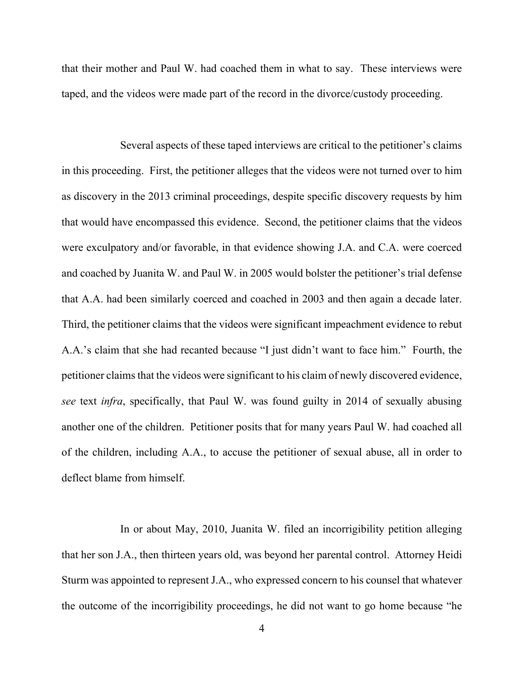that their mother and Paul W. had coached them in what to say. These interviews were taped, and the videos were made part of the record in the divorce/custody proceeding.

 Several aspects of these taped interviews are critical to the petitioner's claims in this proceeding. First, the petitioner alleges that the videos were not turned over to him as discovery in the 2013 criminal proceedings, despite specific discovery requests by him that would have encompassed this evidence. Second, the petitioner claims that the videos were exculpatory and/or favorable, in that evidence showing J.A. and C.A. were coerced and coached by Juanita W. and Paul W. in 2005 would bolster the petitioner's trial defense that A.A. had been similarly coerced and coached in 2003 and then again a decade later. Third, the petitioner claims that the videos were significant impeachment evidence to rebut A.A.'s claim that she had recanted because "I just didn't want to face him." Fourth, the petitioner claims that the videos were significant to his claim of newly discovered evidence, *see* text *infra*, specifically, that Paul W. was found guilty in 2014 of sexually abusing another one of the children. Petitioner posits that for many years Paul W. had coached all of the children, including A.A., to accuse the petitioner of sexual abuse, all in order to deflect blame from himself.

 In or about May, 2010, Juanita W. filed an incorrigibility petition alleging that her son J.A., then thirteen years old, was beyond her parental control. Attorney Heidi Sturm was appointed to represent J.A., who expressed concern to his counsel that whatever the outcome of the incorrigibility proceedings, he did not want to go home because "he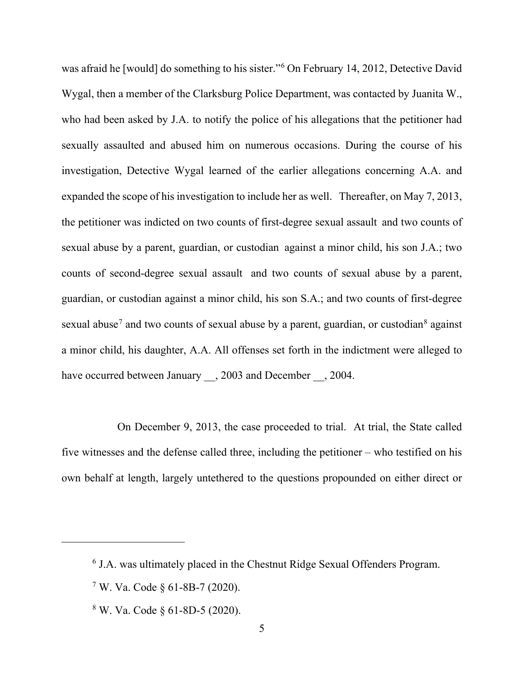was afraid he [would] do something to his sister."[6](#page-13-0) On February 14, 2012, Detective David Wygal, then a member of the Clarksburg Police Department, was contacted by Juanita W., who had been asked by J.A. to notify the police of his allegations that the petitioner had sexually assaulted and abused him on numerous occasions. During the course of his investigation, Detective Wygal learned of the earlier allegations concerning A.A. and expanded the scope of his investigation to include her as well. Thereafter, on May 7, 2013, the petitioner was indicted on two counts of first-degree sexual assault and two counts of sexual abuse by a parent, guardian, or custodian against a minor child, his son J.A.; two counts of second-degree sexual assault and two counts of sexual abuse by a parent, guardian, or custodian against a minor child, his son S.A.; and two counts of first-degree sexual abuse<sup>[7](#page-13-1)</sup> and two counts of sexual abuse by a parent, guardian, or custodian<sup>[8](#page-13-2)</sup> against a minor child, his daughter, A.A. All offenses set forth in the indictment were alleged to have occurred between January  $\,$ , 2003 and December  $\,$ , 2004.

 On December 9, 2013, the case proceeded to trial. At trial, the State called five witnesses and the defense called three, including the petitioner  $-$  who testified on his own behalf at length, largely untethered to the questions propounded on either direct or

<span id="page-13-2"></span><sup>8</sup> W. Va. Code § 61-8D-5 (2020).

<span id="page-13-0"></span><sup>6</sup> J.A. was ultimately placed in the Chestnut Ridge Sexual Offenders Program.

<span id="page-13-1"></span> $7$  W. Va. Code  $\S$  61-8B-7 (2020).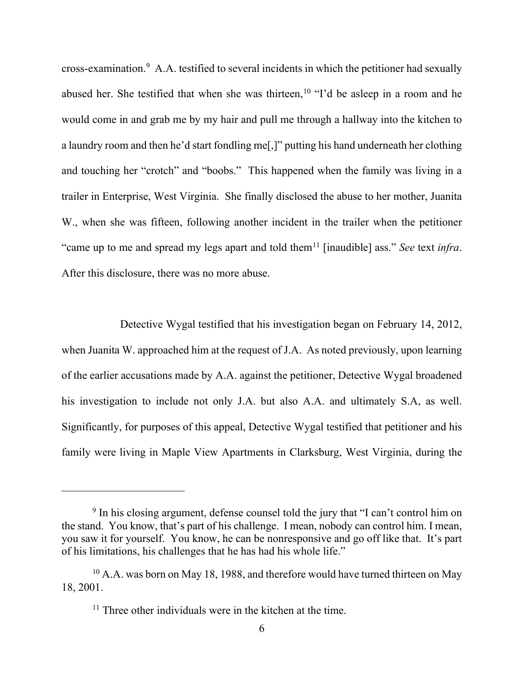cross-examination. [9](#page-14-0) A.A. testified to several incidents in which the petitioner had sexually abused her. She testified that when she was thirteen,  $10$  "I'd be asleep in a room and he would come in and grab me by my hair and pull me through a hallway into the kitchen to a laundry room and then he'd start fondling me[,]" putting his hand underneath her clothing and touching her "crotch" and "boobs." This happened when the family was living in a trailer in Enterprise, West Virginia. She finally disclosed the abuse to her mother, Juanita W., when she was fifteen, following another incident in the trailer when the petitioner "came up to me and spread my legs apart and told them<sup>[11](#page-14-2)</sup> [inaudible] ass." *See* text *infra*. After this disclosure, there was no more abuse.

 Detective Wygal testified that his investigation began on February 14, 2012, when Juanita W. approached him at the request of J.A. As noted previously, upon learning of the earlier accusations made by A.A. against the petitioner, Detective Wygal broadened his investigation to include not only J.A. but also A.A. and ultimately S.A, as well. Significantly, for purposes of this appeal, Detective Wygal testified that petitioner and his family were living in Maple View Apartments in Clarksburg, West Virginia, during the

<span id="page-14-0"></span><sup>&</sup>lt;sup>9</sup> In his closing argument, defense counsel told the jury that "I can't control him on the stand. You know, that's part of his challenge. I mean, nobody can control him. I mean, you saw it for yourself. You know, he can be nonresponsive and go off like that. It's part of his limitations, his challenges that he has had his whole life."

<span id="page-14-2"></span><span id="page-14-1"></span><sup>&</sup>lt;sup>10</sup> A.A. was born on May 18, 1988, and therefore would have turned thirteen on May 18, 2001.

<sup>&</sup>lt;sup>11</sup> Three other individuals were in the kitchen at the time.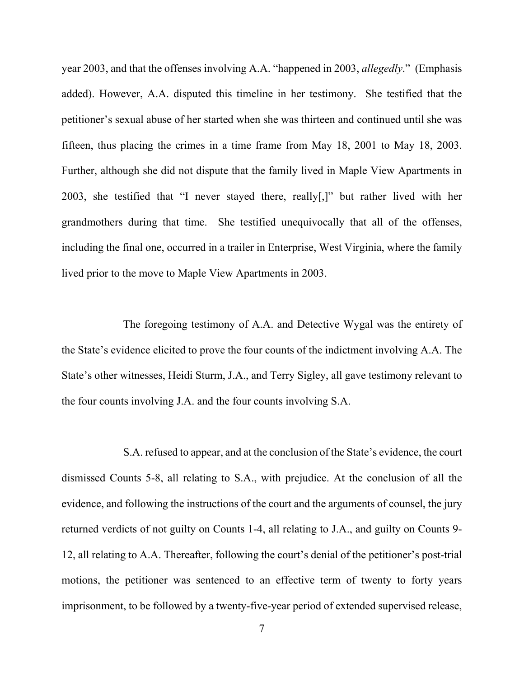year 2003, and that the offenses involving A.A. "happened in 2003, *allegedly*." (Emphasis added). However, A.A. disputed this timeline in her testimony. She testified that the petitioner's sexual abuse of her started when she was thirteen and continued until she was fifteen, thus placing the crimes in a time frame from May 18, 2001 to May 18, 2003. Further, although she did not dispute that the family lived in Maple View Apartments in 2003, she testified that "I never stayed there, really[,]" but rather lived with her grandmothers during that time. She testified unequivocally that all of the offenses, including the final one, occurred in a trailer in Enterprise, West Virginia, where the family lived prior to the move to Maple View Apartments in 2003.

The foregoing testimony of A.A. and Detective Wygal was the entirety of the State's evidence elicited to prove the four counts of the indictment involving A.A. The State's other witnesses, Heidi Sturm, J.A., and Terry Sigley, all gave testimony relevant to the four counts involving J.A. and the four counts involving S.A.

S.A. refused to appear, and at the conclusion of the State's evidence, the court dismissed Counts 5-8, all relating to S.A., with prejudice. At the conclusion of all the evidence, and following the instructions of the court and the arguments of counsel, the jury returned verdicts of not guilty on Counts 1-4, all relating to J.A., and guilty on Counts 9- 12, all relating to A.A. Thereafter, following the court's denial of the petitioner's post-trial motions, the petitioner was sentenced to an effective term of twenty to forty years imprisonment, to be followed by a twenty-five-year period of extended supervised release,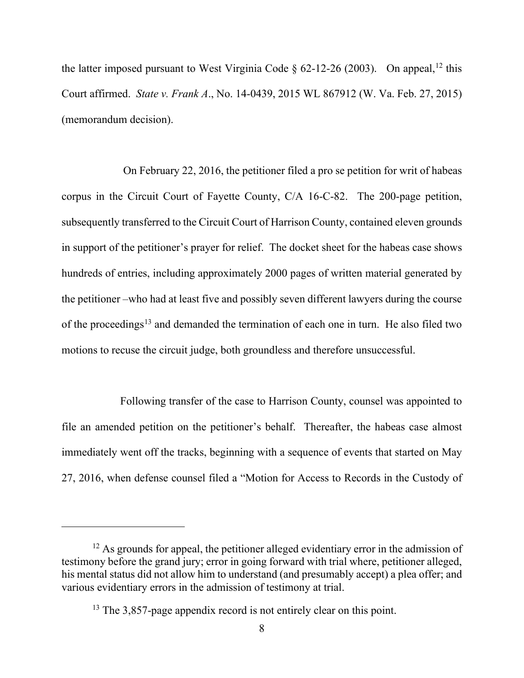the latter imposed pursuant to West Virginia Code  $\delta$  62-[12](#page-16-0)-26 (2003). On appeal, <sup>12</sup> this Court affirmed. *State v. Frank A*., No. 14-0439, 2015 WL 867912 (W. Va. Feb. 27, 2015) (memorandum decision).

On February 22, 2016, the petitioner filed a pro se petition for writ of habeas corpus in the Circuit Court of Fayette County, C/A 16-C-82. The 200-page petition, subsequently transferred to the Circuit Court of Harrison County, contained eleven grounds in support of the petitioner's prayer for relief. The docket sheet for the habeas case shows hundreds of entries, including approximately 2000 pages of written material generated by the petitioner –who had at least five and possibly seven different lawyers during the course of the proceedings<sup>[13](#page-16-1)</sup> and demanded the termination of each one in turn. He also filed two motions to recuse the circuit judge, both groundless and therefore unsuccessful.

 Following transfer of the case to Harrison County, counsel was appointed to file an amended petition on the petitioner's behalf. Thereafter, the habeas case almost immediately went off the tracks, beginning with a sequence of events that started on May 27, 2016, when defense counsel filed a "Motion for Access to Records in the Custody of

<span id="page-16-1"></span><span id="page-16-0"></span> $12$  As grounds for appeal, the petitioner alleged evidentiary error in the admission of testimony before the grand jury; error in going forward with trial where, petitioner alleged, his mental status did not allow him to understand (and presumably accept) a plea offer; and various evidentiary errors in the admission of testimony at trial.

<sup>&</sup>lt;sup>13</sup> The 3,857-page appendix record is not entirely clear on this point.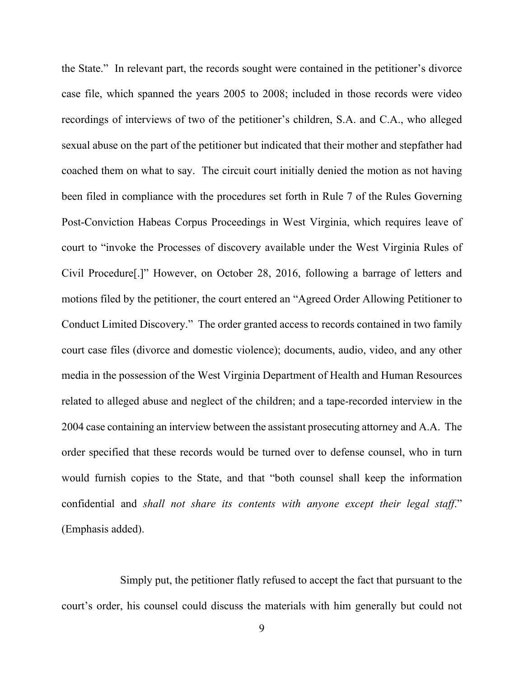the State." In relevant part, the records sought were contained in the petitioner's divorce case file, which spanned the years 2005 to 2008; included in those records were video recordings of interviews of two of the petitioner's children, S.A. and C.A., who alleged sexual abuse on the part of the petitioner but indicated that their mother and stepfather had coached them on what to say. The circuit court initially denied the motion as not having been filed in compliance with the procedures set forth in Rule 7 of the Rules Governing Post-Conviction Habeas Corpus Proceedings in West Virginia, which requires leave of court to "invoke the Processes of discovery available under the West Virginia Rules of Civil Procedure[.]" However, on October 28, 2016, following a barrage of letters and motions filed by the petitioner, the court entered an "Agreed Order Allowing Petitioner to Conduct Limited Discovery." The order granted access to records contained in two family court case files (divorce and domestic violence); documents, audio, video, and any other media in the possession of the West Virginia Department of Health and Human Resources related to alleged abuse and neglect of the children; and a tape-recorded interview in the 2004 case containing an interview between the assistant prosecuting attorney and A.A. The order specified that these records would be turned over to defense counsel, who in turn would furnish copies to the State, and that "both counsel shall keep the information confidential and *shall not share its contents with anyone except their legal staff*." (Emphasis added).

 Simply put, the petitioner flatly refused to accept the fact that pursuant to the court's order, his counsel could discuss the materials with him generally but could not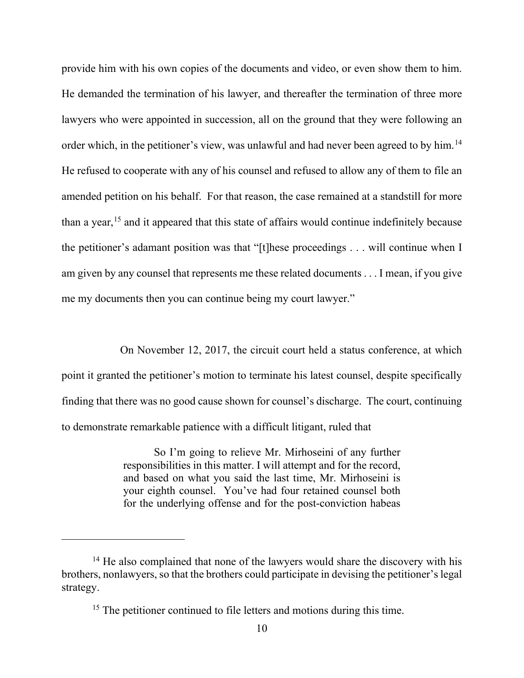provide him with his own copies of the documents and video, or even show them to him. He demanded the termination of his lawyer, and thereafter the termination of three more lawyers who were appointed in succession, all on the ground that they were following an order which, in the petitioner's view, was unlawful and had never been agreed to by him.<sup>[14](#page-18-0)</sup> He refused to cooperate with any of his counsel and refused to allow any of them to file an amended petition on his behalf. For that reason, the case remained at a standstill for more than a year, [15](#page-18-1) and it appeared that this state of affairs would continue indefinitely because the petitioner's adamant position was that "[t]hese proceedings . . . will continue when I am given by any counsel that represents me these related documents . . . I mean, if you give me my documents then you can continue being my court lawyer."

 On November 12, 2017, the circuit court held a status conference, at which point it granted the petitioner's motion to terminate his latest counsel, despite specifically finding that there was no good cause shown for counsel's discharge. The court, continuing to demonstrate remarkable patience with a difficult litigant, ruled that

> So I'm going to relieve Mr. Mirhoseini of any further responsibilities in this matter. I will attempt and for the record, and based on what you said the last time, Mr. Mirhoseini is your eighth counsel. You've had four retained counsel both for the underlying offense and for the post-conviction habeas

<span id="page-18-1"></span><span id="page-18-0"></span> $14$  He also complained that none of the lawyers would share the discovery with his brothers, nonlawyers, so that the brothers could participate in devising the petitioner's legal strategy.

<sup>&</sup>lt;sup>15</sup> The petitioner continued to file letters and motions during this time.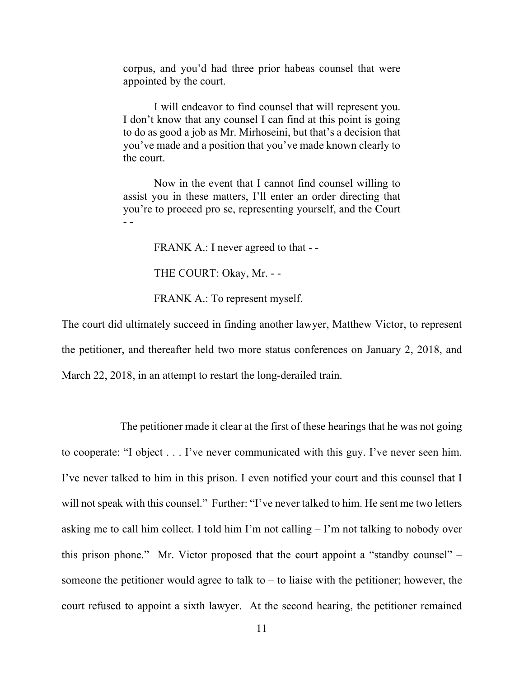corpus, and you'd had three prior habeas counsel that were appointed by the court.

I will endeavor to find counsel that will represent you. I don't know that any counsel I can find at this point is going to do as good a job as Mr. Mirhoseini, but that's a decision that you've made and a position that you've made known clearly to the court.

Now in the event that I cannot find counsel willing to assist you in these matters, I'll enter an order directing that you're to proceed pro se, representing yourself, and the Court - -

FRANK A.: I never agreed to that - -

THE COURT: Okay, Mr. - -

FRANK A.: To represent myself.

The court did ultimately succeed in finding another lawyer, Matthew Victor, to represent the petitioner, and thereafter held two more status conferences on January 2, 2018, and March 22, 2018, in an attempt to restart the long-derailed train.

 The petitioner made it clear at the first of these hearings that he was not going to cooperate: "I object . . . I've never communicated with this guy. I've never seen him. I've never talked to him in this prison. I even notified your court and this counsel that I will not speak with this counsel." Further: "I've never talked to him. He sent me two letters asking me to call him collect. I told him I'm not calling  $-$  I'm not talking to nobody over this prison phone." Mr. Victor proposed that the court appoint a "standby counsel" – someone the petitioner would agree to talk to  $-$  to liaise with the petitioner; however, the court refused to appoint a sixth lawyer. At the second hearing, the petitioner remained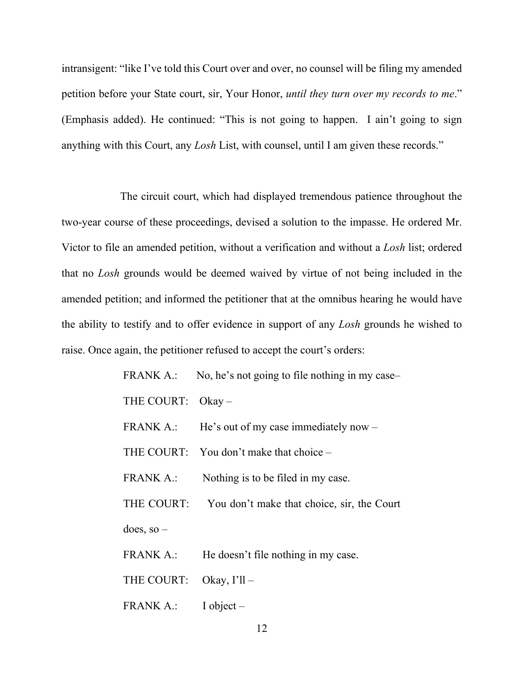intransigent: "like I've told this Court over and over, no counsel will be filing my amended petition before your State court, sir, Your Honor, *until they turn over my records to me*." (Emphasis added). He continued: "This is not going to happen. I ain't going to sign anything with this Court, any *Losh* List, with counsel, until I am given these records."

 The circuit court, which had displayed tremendous patience throughout the two-year course of these proceedings, devised a solution to the impasse. He ordered Mr. Victor to file an amended petition, without a verification and without a *Losh* list; ordered that no *Losh* grounds would be deemed waived by virtue of not being included in the amended petition; and informed the petitioner that at the omnibus hearing he would have the ability to testify and to offer evidence in support of any *Losh* grounds he wished to raise. Once again, the petitioner refused to accept the court's orders:

|                           | FRANK A.: No, he's not going to file nothing in my case- |
|---------------------------|----------------------------------------------------------|
| THE COURT: Okay-          |                                                          |
|                           | FRANK A.: He's out of my case immediately now $-$        |
|                           | THE COURT: You don't make that choice -                  |
|                           | FRANK A.: Nothing is to be filed in my case.             |
|                           | THE COURT: You don't make that choice, sir, the Court    |
| $does, so -$              |                                                          |
|                           | FRANK A.: He doesn't file nothing in my case.            |
| THE COURT: Okay, $I'll$ – |                                                          |
| FRANK A.: I object –      |                                                          |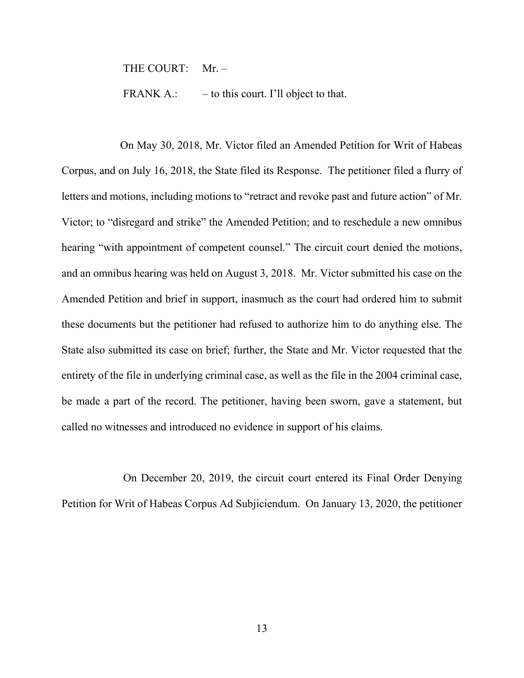THE COURT: Mr. -

FRANK A.:  $-$  to this court. I'll object to that.

 On May 30, 2018, Mr. Victor filed an Amended Petition for Writ of Habeas Corpus, and on July 16, 2018, the State filed its Response. The petitioner filed a flurry of letters and motions, including motions to "retract and revoke past and future action" of Mr. Victor; to "disregard and strike" the Amended Petition; and to reschedule a new omnibus hearing "with appointment of competent counsel." The circuit court denied the motions, and an omnibus hearing was held on August 3, 2018. Mr. Victor submitted his case on the Amended Petition and brief in support, inasmuch as the court had ordered him to submit these documents but the petitioner had refused to authorize him to do anything else. The State also submitted its case on brief; further, the State and Mr. Victor requested that the entirety of the file in underlying criminal case, as well as the file in the 2004 criminal case, be made a part of the record. The petitioner, having been sworn, gave a statement, but called no witnesses and introduced no evidence in support of his claims.

On December 20, 2019, the circuit court entered its Final Order Denying Petition for Writ of Habeas Corpus Ad Subjiciendum. On January 13, 2020, the petitioner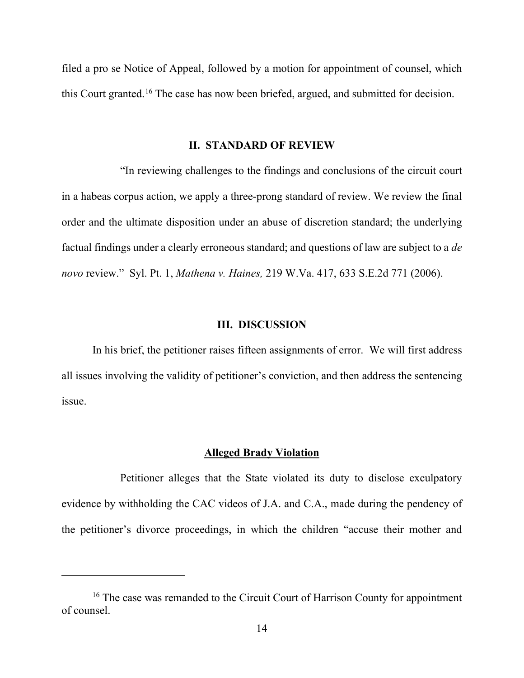filed a pro se Notice of Appeal, followed by a motion for appointment of counsel, which this Court granted.[16](#page-22-0) The case has now been briefed, argued, and submitted for decision.

### **II. STANDARD OF REVIEW**

 "In reviewing challenges to the findings and conclusions of the circuit court in a habeas corpus action, we apply a three-prong standard of review. We review the final order and the ultimate disposition under an abuse of discretion standard; the underlying factual findings under a clearly erroneous standard; and questions of law are subject to a *de novo* review." Syl. Pt. 1, *Mathena v. Haines,* 219 W.Va. 417, 633 S.E.2d 771 (2006).

### **III. DISCUSSION**

In his brief, the petitioner raises fifteen assignments of error. We will first address all issues involving the validity of petitioner's conviction, and then address the sentencing issue.

### **Alleged Brady Violation**

 Petitioner alleges that the State violated its duty to disclose exculpatory evidence by withholding the CAC videos of J.A. and C.A., made during the pendency of the petitioner's divorce proceedings, in which the children "accuse their mother and

<span id="page-22-0"></span><sup>&</sup>lt;sup>16</sup> The case was remanded to the Circuit Court of Harrison County for appointment of counsel.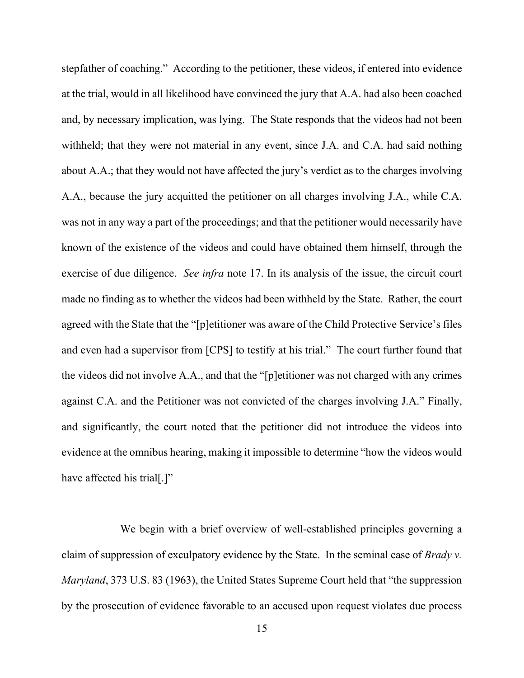stepfather of coaching." According to the petitioner, these videos, if entered into evidence at the trial, would in all likelihood have convinced the jury that A.A. had also been coached and, by necessary implication, was lying. The State responds that the videos had not been withheld; that they were not material in any event, since J.A. and C.A. had said nothing about A.A.; that they would not have affected the jury's verdict as to the charges involving A.A., because the jury acquitted the petitioner on all charges involving J.A., while C.A. was not in any way a part of the proceedings; and that the petitioner would necessarily have known of the existence of the videos and could have obtained them himself, through the exercise of due diligence. *See infra* note 17. In its analysis of the issue, the circuit court made no finding as to whether the videos had been withheld by the State. Rather, the court agreed with the State that the "[p]etitioner was aware of the Child Protective Service's files and even had a supervisor from [CPS] to testify at his trial." The court further found that the videos did not involve A.A., and that the "[p]etitioner was not charged with any crimes against C.A. and the Petitioner was not convicted of the charges involving J.A." Finally, and significantly, the court noted that the petitioner did not introduce the videos into evidence at the omnibus hearing, making it impossible to determine "how the videos would have affected his trial[.]"

 We begin with a brief overview of well-established principles governing a claim of suppression of exculpatory evidence by the State. In the seminal case of *Brady v. Maryland*, 373 U.S. 83 (1963), the United States Supreme Court held that "the suppression by the prosecution of evidence favorable to an accused upon request violates due process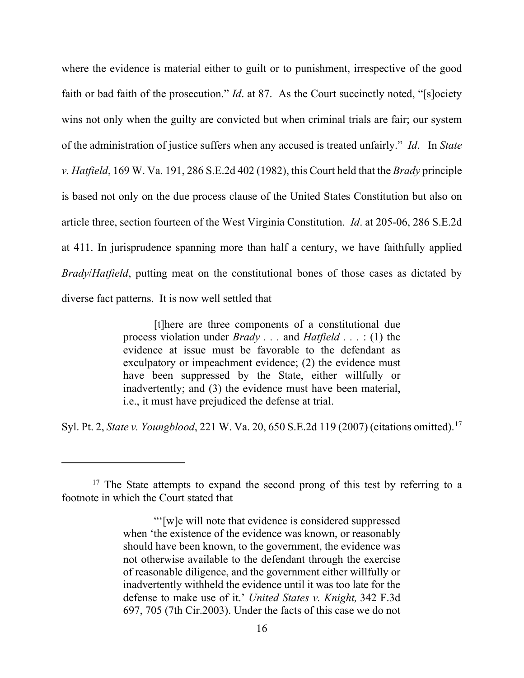where the evidence is material either to guilt or to punishment, irrespective of the good faith or bad faith of the prosecution." *Id*. at 87. As the Court succinctly noted, "[s]ociety wins not only when the guilty are convicted but when criminal trials are fair; our system of the administration of justice suffers when any accused is treated unfairly." *Id*. In *State v. Hatfield*, 169 W. Va. 191, 286 S.E.2d 402 (1982), this Court held that the *Brady* principle is based not only on the due process clause of the United States Constitution but also on article three, section fourteen of the West Virginia Constitution. *Id*. at 205-06, 286 S.E.2d at 411. In jurisprudence spanning more than half a century, we have faithfully applied *Brady*/*Hatfield*, putting meat on the constitutional bones of those cases as dictated by diverse fact patterns. It is now well settled that

> [t]here are three components of a constitutional due process violation under *Brady . . .* and *Hatfield . . .* : (1) the evidence at issue must be favorable to the defendant as exculpatory or impeachment evidence; (2) the evidence must have been suppressed by the State, either willfully or inadvertently; and (3) the evidence must have been material, i.e., it must have prejudiced the defense at trial.

Syl. Pt. 2, *State v. Youngblood*, 221 W. Va. 20, 650 S.E.2d 119 (2007) (citations omitted). [17](#page-24-0)

<span id="page-24-0"></span><sup>&</sup>lt;sup>17</sup> The State attempts to expand the second prong of this test by referring to a footnote in which the Court stated that

<sup>&</sup>quot;'[w]e will note that evidence is considered suppressed when 'the existence of the evidence was known, or reasonably should have been known, to the government, the evidence was not otherwise available to the defendant through the exercise of reasonable diligence, and the government either willfully or inadvertently withheld the evidence until it was too late for the defense to make use of it.' *United States v. Knight,* 342 F.3d 697, 705 (7th Cir.2003). Under the facts of this case we do not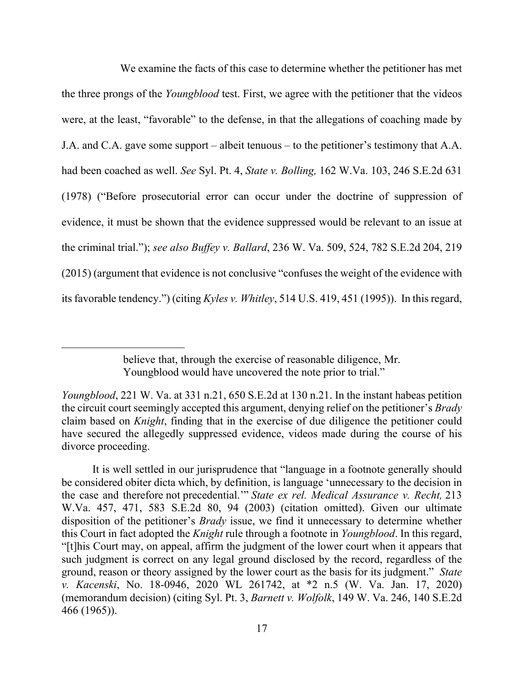We examine the facts of this case to determine whether the petitioner has met the three prongs of the *Youngblood* test. First, we agree with the petitioner that the videos were, at the least, "favorable" to the defense, in that the allegations of coaching made by J.A. and C.A. gave some support – albeit tenuous – to the petitioner's testimony that A.A. had been coached as well. *See* Syl. Pt. 4, *State v. Bolling,* 162 W.Va. 103, 246 S.E.2d 631 (1978) ("Before prosecutorial error can occur under the doctrine of suppression of evidence, it must be shown that the evidence suppressed would be relevant to an issue at the criminal trial."); *see also Buffey v. Ballard*, 236 W. Va. 509, 524, 782 S.E.2d 204, 219 (2015) (argument that evidence is not conclusive "confuses the weight of the evidence with its favorable tendency.") (citing *Kyles v. Whitley*, 514 U.S. 419, 451 (1995)). In this regard,

believe that, through the exercise of reasonable diligence, Mr. Youngblood would have uncovered the note prior to trial."

*Youngblood*, 221 W. Va. at 331 n.21, 650 S.E.2d at 130 n.21. In the instant habeas petition the circuit court seemingly accepted this argument, denying relief on the petitioner's *Brady* claim based on *Knight*, finding that in the exercise of due diligence the petitioner could have secured the allegedly suppressed evidence, videos made during the course of his divorce proceeding.

It is well settled in our jurisprudence that "language in a footnote generally should be considered obiter dicta which, by definition, is language 'unnecessary to the decision in the case and therefore not precedential.'" *State ex rel. Medical Assurance v. Recht,* 213 W.Va. 457, 471, 583 S.E.2d 80, 94 (2003) (citation omitted). Given our ultimate disposition of the petitioner's *Brady* issue, we find it unnecessary to determine whether this Court in fact adopted the *Knight* rule through a footnote in *Youngblood*. In this regard, "[t]his Court may, on appeal, affirm the judgment of the lower court when it appears that such judgment is correct on any legal ground disclosed by the record, regardless of the ground, reason or theory assigned by the lower court as the basis for its judgment." *State v. Kacenski*, No. 18-0946, 2020 WL 261742, at \*2 n.5 (W. Va. Jan. 17, 2020) (memorandum decision) (citing Syl. Pt. 3, *Barnett v. Wolfolk*, 149 W. Va. 246, 140 S.E.2d 466 (1965)).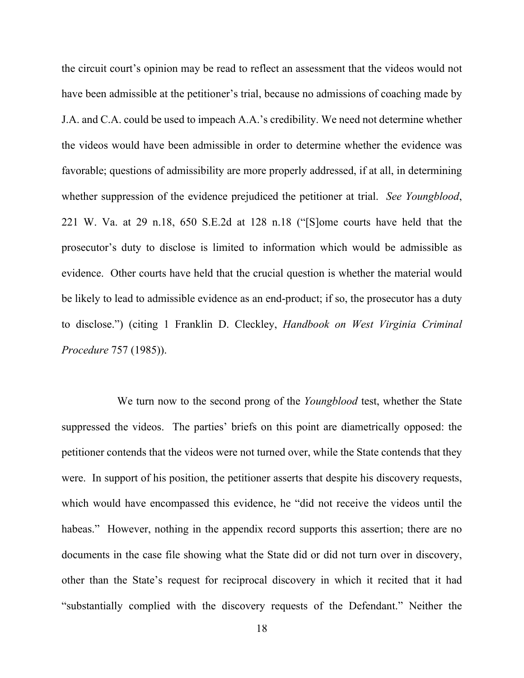the circuit court's opinion may be read to reflect an assessment that the videos would not have been admissible at the petitioner's trial, because no admissions of coaching made by J.A. and C.A. could be used to impeach A.A.'s credibility. We need not determine whether the videos would have been admissible in order to determine whether the evidence was favorable; questions of admissibility are more properly addressed, if at all, in determining whether suppression of the evidence prejudiced the petitioner at trial. *See Youngblood*, 221 W. Va. at 29 n.18, 650 S.E.2d at 128 n.18 ("[S]ome courts have held that the prosecutor's duty to disclose is limited to information which would be admissible as evidence. Other courts have held that the crucial question is whether the material would be likely to lead to admissible evidence as an end-product; if so, the prosecutor has a duty to disclose.") (citing 1 Franklin D. Cleckley, *Handbook on West Virginia Criminal Procedure* 757 (1985)).

 We turn now to the second prong of the *Youngblood* test, whether the State suppressed the videos. The parties' briefs on this point are diametrically opposed: the petitioner contends that the videos were not turned over, while the State contends that they were. In support of his position, the petitioner asserts that despite his discovery requests, which would have encompassed this evidence, he "did not receive the videos until the habeas." However, nothing in the appendix record supports this assertion; there are no documents in the case file showing what the State did or did not turn over in discovery, other than the State's request for reciprocal discovery in which it recited that it had "substantially complied with the discovery requests of the Defendant." Neither the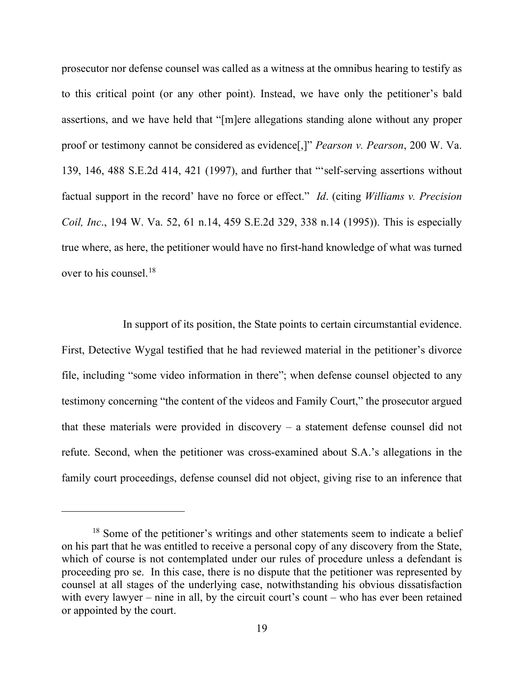prosecutor nor defense counsel was called as a witness at the omnibus hearing to testify as to this critical point (or any other point). Instead, we have only the petitioner's bald assertions, and we have held that "[m]ere allegations standing alone without any proper proof or testimony cannot be considered as evidence[,]" *Pearson v. Pearson*, 200 W. Va. 139, 146, 488 S.E.2d 414, 421 (1997), and further that "'self-serving assertions without factual support in the record' have no force or effect." *Id*. (citing *Williams v. Precision Coil, Inc*., 194 W. Va. 52, 61 n.14, 459 S.E.2d 329, 338 n.14 (1995)). This is especially true where, as here, the petitioner would have no first-hand knowledge of what was turned over to his counsel.[18](#page-27-0)

 In support of its position, the State points to certain circumstantial evidence. First, Detective Wygal testified that he had reviewed material in the petitioner's divorce file, including "some video information in there"; when defense counsel objected to any testimony concerning "the content of the videos and Family Court," the prosecutor argued that these materials were provided in discovery  $-$  a statement defense counsel did not refute. Second, when the petitioner was cross-examined about S.A.'s allegations in the family court proceedings, defense counsel did not object, giving rise to an inference that

<span id="page-27-0"></span><sup>&</sup>lt;sup>18</sup> Some of the petitioner's writings and other statements seem to indicate a belief on his part that he was entitled to receive a personal copy of any discovery from the State, which of course is not contemplated under our rules of procedure unless a defendant is proceeding pro se. In this case, there is no dispute that the petitioner was represented by counsel at all stages of the underlying case, notwithstanding his obvious dissatisfaction with every lawyer  $-$  nine in all, by the circuit court's count  $-$  who has ever been retained or appointed by the court.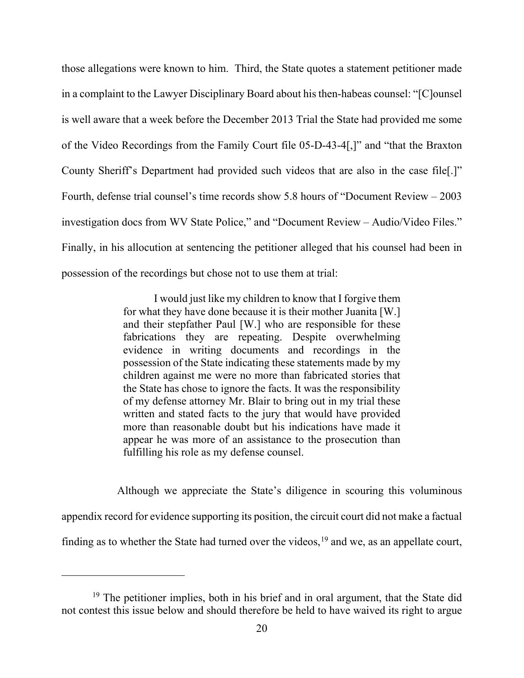those allegations were known to him. Third, the State quotes a statement petitioner made in a complaint to the Lawyer Disciplinary Board about his then-habeas counsel: "[C]ounsel is well aware that a week before the December 2013 Trial the State had provided me some of the Video Recordings from the Family Court file 05-D-43-4[,]" and "that the Braxton County Sheriff's Department had provided such videos that are also in the case file[.]" Fourth, defense trial counsel's time records show 5.8 hours of "Document Review – 2003 investigation docs from WV State Police," and "Document Review – Audio/Video Files." Finally, in his allocution at sentencing the petitioner alleged that his counsel had been in possession of the recordings but chose not to use them at trial:

> I would just like my children to know that I forgive them for what they have done because it is their mother Juanita [W.] and their stepfather Paul [W.] who are responsible for these fabrications they are repeating. Despite overwhelming evidence in writing documents and recordings in the possession of the State indicating these statements made by my children against me were no more than fabricated stories that the State has chose to ignore the facts. It was the responsibility of my defense attorney Mr. Blair to bring out in my trial these written and stated facts to the jury that would have provided more than reasonable doubt but his indications have made it appear he was more of an assistance to the prosecution than fulfilling his role as my defense counsel.

 Although we appreciate the State's diligence in scouring this voluminous appendix record for evidence supporting its position, the circuit court did not make a factual finding as to whether the State had turned over the videos,  $19$  and we, as an appellate court,

<span id="page-28-0"></span><sup>&</sup>lt;sup>19</sup> The petitioner implies, both in his brief and in oral argument, that the State did not contest this issue below and should therefore be held to have waived its right to argue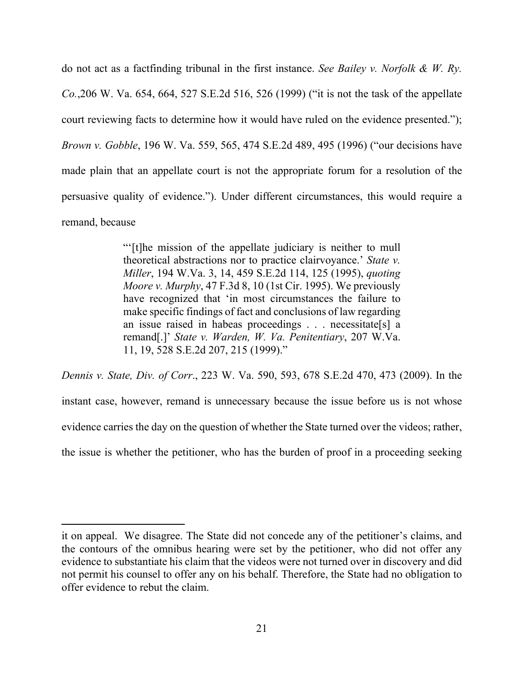do not act as a factfinding tribunal in the first instance. *See Bailey v. Norfolk & W. Ry. Co.*,206 W. Va. 654, 664, 527 S.E.2d 516, 526 (1999) ("it is not the task of the appellate court reviewing facts to determine how it would have ruled on the evidence presented."); *Brown v. Gobble*, 196 W. Va. 559, 565, 474 S.E.2d 489, 495 (1996) ("our decisions have made plain that an appellate court is not the appropriate forum for a resolution of the persuasive quality of evidence."). Under different circumstances, this would require a remand, because

> "'[t]he mission of the appellate judiciary is neither to mull theoretical abstractions nor to practice clairvoyance.' *State v. Miller*, 194 W.Va. 3, 14, 459 S.E.2d 114, 125 (1995), *quoting Moore v. Murphy*, 47 F.3d 8, 10 (1st Cir. 1995). We previously have recognized that 'in most circumstances the failure to make specific findings of fact and conclusions of law regarding an issue raised in habeas proceedings . . . necessitate[s] a remand[.]' *State v. Warden, W. Va. Penitentiary*, 207 W.Va. 11, 19, 528 S.E.2d 207, 215 (1999)."

*Dennis v. State, Div. of Corr*., 223 W. Va. 590, 593, 678 S.E.2d 470, 473 (2009). In the instant case, however, remand is unnecessary because the issue before us is not whose evidence carries the day on the question of whether the State turned over the videos; rather, the issue is whether the petitioner, who has the burden of proof in a proceeding seeking

it on appeal. We disagree. The State did not concede any of the petitioner's claims, and the contours of the omnibus hearing were set by the petitioner, who did not offer any evidence to substantiate his claim that the videos were not turned over in discovery and did not permit his counsel to offer any on his behalf. Therefore, the State had no obligation to offer evidence to rebut the claim.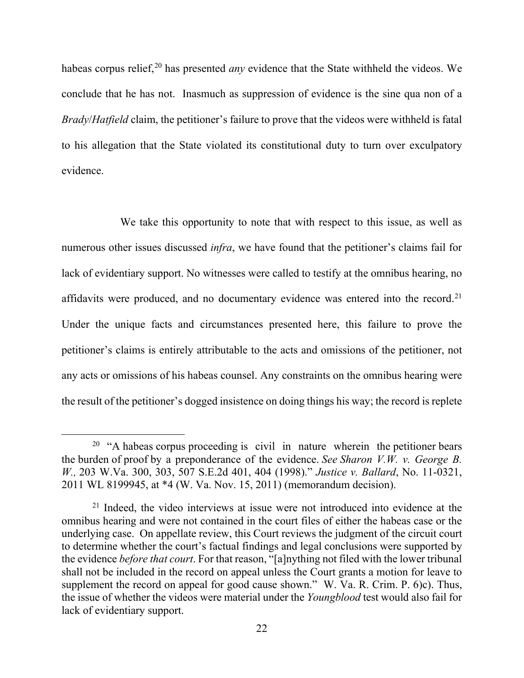habeas corpus relief,<sup>[20](#page-30-0)</sup> has presented *any* evidence that the State withheld the videos. We conclude that he has not. Inasmuch as suppression of evidence is the sine qua non of a *Brady*/*Hatfield* claim, the petitioner's failure to prove that the videos were withheld is fatal to his allegation that the State violated its constitutional duty to turn over exculpatory evidence.

 We take this opportunity to note that with respect to this issue, as well as numerous other issues discussed *infra*, we have found that the petitioner's claims fail for lack of evidentiary support. No witnesses were called to testify at the omnibus hearing, no affidavits were produced, and no documentary evidence was entered into the record.<sup>[21](#page-30-1)</sup> Under the unique facts and circumstances presented here, this failure to prove the petitioner's claims is entirely attributable to the acts and omissions of the petitioner, not any acts or omissions of his habeas counsel. Any constraints on the omnibus hearing were the result of the petitioner's dogged insistence on doing things his way; the record is replete

<span id="page-30-0"></span> $20$  "A habeas corpus proceeding is civil in nature wherein the petitioner bears the burden of proof by a preponderance of the evidence. *See Sharon V.W. v. George B. W.,* 203 W.Va. 300, 303, 507 S.E.2d 401, 404 (1998)." *Justice v. Ballard*, No. 11-0321, 2011 WL 8199945, at \*4 (W. Va. Nov. 15, 2011) (memorandum decision).

<span id="page-30-1"></span> $21$  Indeed, the video interviews at issue were not introduced into evidence at the omnibus hearing and were not contained in the court files of either the habeas case or the underlying case. On appellate review, this Court reviews the judgment of the circuit court to determine whether the court's factual findings and legal conclusions were supported by the evidence *before that court*. For that reason, "[a]nything not filed with the lower tribunal shall not be included in the record on appeal unless the Court grants a motion for leave to supplement the record on appeal for good cause shown." W. Va. R. Crim. P. 6)c). Thus, the issue of whether the videos were material under the *Youngblood* test would also fail for lack of evidentiary support.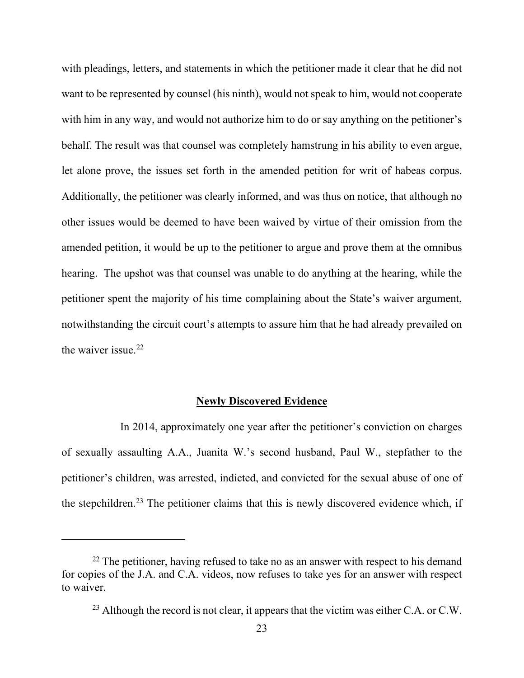with pleadings, letters, and statements in which the petitioner made it clear that he did not want to be represented by counsel (his ninth), would not speak to him, would not cooperate with him in any way, and would not authorize him to do or say anything on the petitioner's behalf. The result was that counsel was completely hamstrung in his ability to even argue, let alone prove, the issues set forth in the amended petition for writ of habeas corpus. Additionally, the petitioner was clearly informed, and was thus on notice, that although no other issues would be deemed to have been waived by virtue of their omission from the amended petition, it would be up to the petitioner to argue and prove them at the omnibus hearing. The upshot was that counsel was unable to do anything at the hearing, while the petitioner spent the majority of his time complaining about the State's waiver argument, notwithstanding the circuit court's attempts to assure him that he had already prevailed on the waiver issue.<sup>[22](#page-31-0)</sup>

### **Newly Discovered Evidence**

 In 2014, approximately one year after the petitioner's conviction on charges of sexually assaulting A.A., Juanita W.'s second husband, Paul W., stepfather to the petitioner's children, was arrested, indicted, and convicted for the sexual abuse of one of the stepchildren.<sup>[23](#page-31-1)</sup> The petitioner claims that this is newly discovered evidence which, if

<span id="page-31-1"></span><span id="page-31-0"></span> $22$  The petitioner, having refused to take no as an answer with respect to his demand for copies of the J.A. and C.A. videos, now refuses to take yes for an answer with respect to waiver.

<sup>&</sup>lt;sup>23</sup> Although the record is not clear, it appears that the victim was either C.A. or C.W.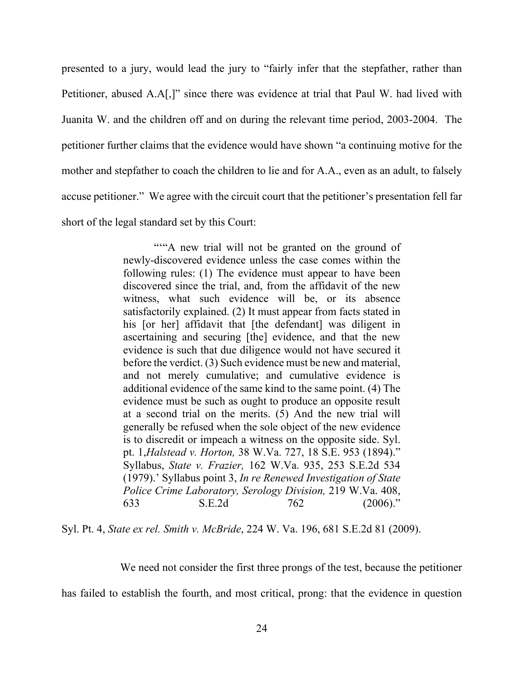presented to a jury, would lead the jury to "fairly infer that the stepfather, rather than Petitioner, abused A.A[,]" since there was evidence at trial that Paul W. had lived with Juanita W. and the children off and on during the relevant time period, 2003-2004. The petitioner further claims that the evidence would have shown "a continuing motive for the mother and stepfather to coach the children to lie and for A.A., even as an adult, to falsely accuse petitioner." We agree with the circuit court that the petitioner's presentation fell far short of the legal standard set by this Court:

> ""A new trial will not be granted on the ground of newly-discovered evidence unless the case comes within the following rules: (1) The evidence must appear to have been discovered since the trial, and, from the affidavit of the new witness, what such evidence will be, or its absence satisfactorily explained. (2) It must appear from facts stated in his [or her] affidavit that [the defendant] was diligent in ascertaining and securing [the] evidence, and that the new evidence is such that due diligence would not have secured it before the verdict. (3) Such evidence must be new and material, and not merely cumulative; and cumulative evidence is additional evidence of the same kind to the same point. (4) The evidence must be such as ought to produce an opposite result at a second trial on the merits. (5) And the new trial will generally be refused when the sole object of the new evidence is to discredit or impeach a witness on the opposite side. Syl. pt. 1,*Halstead v. Horton,* 38 W.Va. 727, 18 S.E. 953 (1894)." Syllabus, *State v. Frazier,* 162 W.Va. 935, 253 S.E.2d 534 (1979).' Syllabus point 3, *In re Renewed Investigation of State Police Crime Laboratory, Serology Division,* 219 W.Va. 408, 633 S.E.2d 762 (2006)."

Syl. Pt. 4, *State ex rel. Smith v. McBride*, 224 W. Va. 196, 681 S.E.2d 81 (2009).

We need not consider the first three prongs of the test, because the petitioner

has failed to establish the fourth, and most critical, prong: that the evidence in question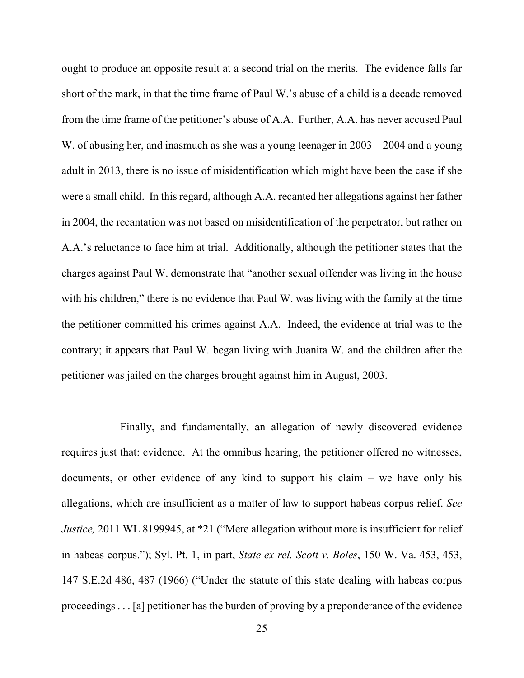ought to produce an opposite result at a second trial on the merits. The evidence falls far short of the mark, in that the time frame of Paul W.'s abuse of a child is a decade removed from the time frame of the petitioner's abuse of A.A. Further, A.A. has never accused Paul W. of abusing her, and inasmuch as she was a young teenager in 2003 – 2004 and a young adult in 2013, there is no issue of misidentification which might have been the case if she were a small child. In this regard, although A.A. recanted her allegations against her father in 2004, the recantation was not based on misidentification of the perpetrator, but rather on A.A.'s reluctance to face him at trial. Additionally, although the petitioner states that the charges against Paul W. demonstrate that "another sexual offender was living in the house with his children," there is no evidence that Paul W. was living with the family at the time the petitioner committed his crimes against A.A. Indeed, the evidence at trial was to the contrary; it appears that Paul W. began living with Juanita W. and the children after the petitioner was jailed on the charges brought against him in August, 2003.

 Finally, and fundamentally, an allegation of newly discovered evidence requires just that: evidence. At the omnibus hearing, the petitioner offered no witnesses, documents, or other evidence of any kind to support his claim  $-$  we have only his allegations, which are insufficient as a matter of law to support habeas corpus relief. *See Justice*, 2011 WL 8199945, at \*21 ("Mere allegation without more is insufficient for relief in habeas corpus."); Syl. Pt. 1, in part, *State ex rel. Scott v. Boles*, 150 W. Va. 453, 453, 147 S.E.2d 486, 487 (1966) ("Under the statute of this state dealing with habeas corpus proceedings . . . [a] petitioner has the burden of proving by a preponderance of the evidence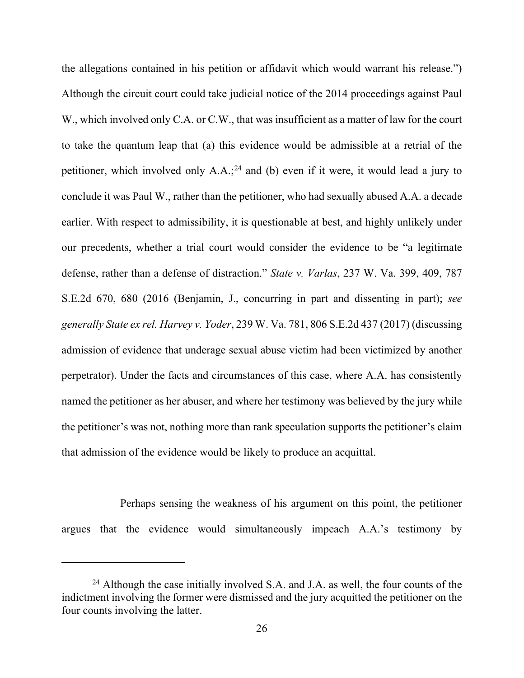the allegations contained in his petition or affidavit which would warrant his release.") Although the circuit court could take judicial notice of the 2014 proceedings against Paul W., which involved only C.A. or C.W., that was insufficient as a matter of law for the court to take the quantum leap that (a) this evidence would be admissible at a retrial of the petitioner, which involved only  $A.A.^{24}$  $A.A.^{24}$  $A.A.^{24}$  and (b) even if it were, it would lead a jury to conclude it was Paul W., rather than the petitioner, who had sexually abused A.A. a decade earlier. With respect to admissibility, it is questionable at best, and highly unlikely under our precedents, whether a trial court would consider the evidence to be "a legitimate defense, rather than a defense of distraction." *State v. Varlas*, 237 W. Va. 399, 409, 787 S.E.2d 670, 680 (2016 (Benjamin, J., concurring in part and dissenting in part); *see generally State ex rel. Harvey v. Yoder*, 239 W. Va. 781, 806 S.E.2d 437 (2017) (discussing admission of evidence that underage sexual abuse victim had been victimized by another perpetrator). Under the facts and circumstances of this case, where A.A. has consistently named the petitioner as her abuser, and where her testimony was believed by the jury while the petitioner's was not, nothing more than rank speculation supports the petitioner's claim that admission of the evidence would be likely to produce an acquittal.

 Perhaps sensing the weakness of his argument on this point, the petitioner argues that the evidence would simultaneously impeach A.A.'s testimony by

<span id="page-34-0"></span><sup>&</sup>lt;sup>24</sup> Although the case initially involved S.A. and J.A. as well, the four counts of the indictment involving the former were dismissed and the jury acquitted the petitioner on the four counts involving the latter.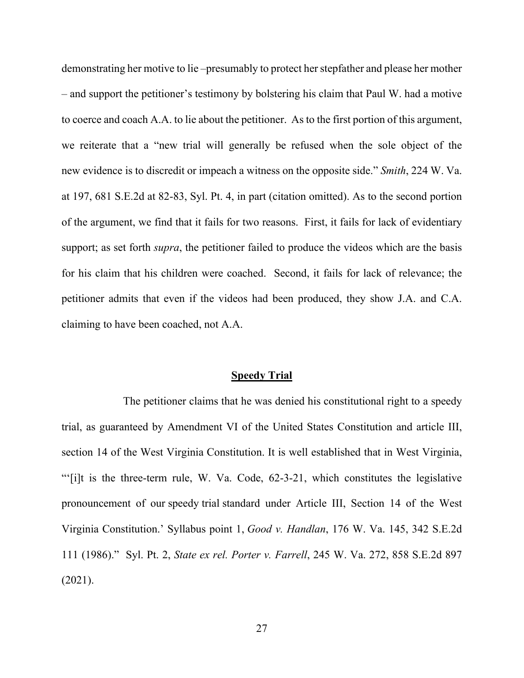demonstrating her motive to lie –presumably to protect her stepfather and please her mother ‒ and support the petitioner's testimony by bolstering his claim that Paul W. had a motive to coerce and coach A.A. to lie about the petitioner. As to the first portion of this argument, we reiterate that a "new trial will generally be refused when the sole object of the new evidence is to discredit or impeach a witness on the opposite side." *Smith*, 224 W. Va. at 197, 681 S.E.2d at 82-83, Syl. Pt. 4, in part (citation omitted). As to the second portion of the argument, we find that it fails for two reasons. First, it fails for lack of evidentiary support; as set forth *supra*, the petitioner failed to produce the videos which are the basis for his claim that his children were coached. Second, it fails for lack of relevance; the petitioner admits that even if the videos had been produced, they show J.A. and C.A. claiming to have been coached, not A.A.

#### **Speedy Trial**

The petitioner claims that he was denied his constitutional right to a speedy trial, as guaranteed by Amendment VI of the United States Constitution and article III, section 14 of the West Virginia Constitution. It is well established that in West Virginia, "'[i]t is the three-term rule, W. Va. Code, 62-3-21, which constitutes the legislative pronouncement of our speedy trial standard under Article III, Section 14 of the West Virginia Constitution.' Syllabus point 1, *Good v. Handlan*, 176 W. Va. 145, 342 S.E.2d 111 (1986)." Syl. Pt. 2, *State ex rel. Porter v. Farrell*, 245 W. Va. 272, 858 S.E.2d 897 (2021).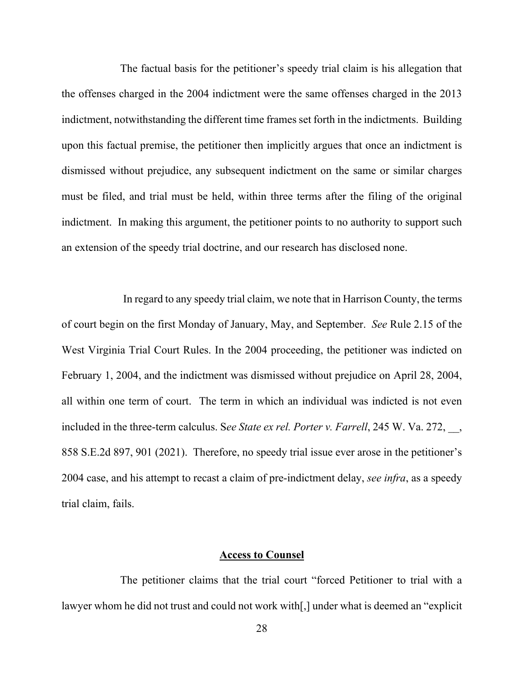The factual basis for the petitioner's speedy trial claim is his allegation that the offenses charged in the 2004 indictment were the same offenses charged in the 2013 indictment, notwithstanding the different time frames set forth in the indictments. Building upon this factual premise, the petitioner then implicitly argues that once an indictment is dismissed without prejudice, any subsequent indictment on the same or similar charges must be filed, and trial must be held, within three terms after the filing of the original indictment. In making this argument, the petitioner points to no authority to support such an extension of the speedy trial doctrine, and our research has disclosed none.

In regard to any speedy trial claim, we note that in Harrison County, the terms of court begin on the first Monday of January, May, and September. *See* Rule 2.15 of the West Virginia Trial Court Rules. In the 2004 proceeding, the petitioner was indicted on February 1, 2004, and the indictment was dismissed without prejudice on April 28, 2004, all within one term of court. The term in which an individual was indicted is not even included in the three-term calculus. See State ex rel. Porter v. Farrell, 245 W. Va. 272, 858 S.E.2d 897, 901 (2021). Therefore, no speedy trial issue ever arose in the petitioner's 2004 case, and his attempt to recast a claim of pre-indictment delay, *see infra*, as a speedy trial claim, fails.

### **Access to Counsel**

 The petitioner claims that the trial court "forced Petitioner to trial with a lawyer whom he did not trust and could not work with[,] under what is deemed an "explicit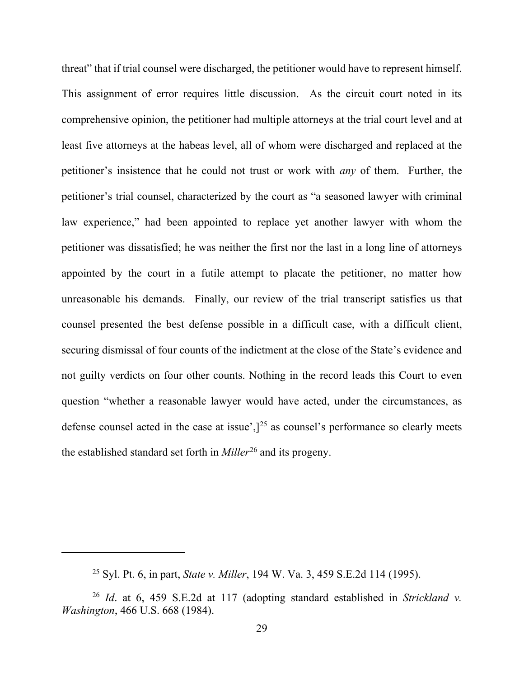threat" that if trial counsel were discharged, the petitioner would have to represent himself. This assignment of error requires little discussion. As the circuit court noted in its comprehensive opinion, the petitioner had multiple attorneys at the trial court level and at least five attorneys at the habeas level, all of whom were discharged and replaced at the petitioner's insistence that he could not trust or work with *any* of them. Further, the petitioner's trial counsel, characterized by the court as "a seasoned lawyer with criminal law experience," had been appointed to replace yet another lawyer with whom the petitioner was dissatisfied; he was neither the first nor the last in a long line of attorneys appointed by the court in a futile attempt to placate the petitioner, no matter how unreasonable his demands. Finally, our review of the trial transcript satisfies us that counsel presented the best defense possible in a difficult case, with a difficult client, securing dismissal of four counts of the indictment at the close of the State's evidence and not guilty verdicts on four other counts. Nothing in the record leads this Court to even question "whether a reasonable lawyer would have acted, under the circumstances, as defense counsel acted in the case at issue', $]^{25}$  $]^{25}$  $]^{25}$  as counsel's performance so clearly meets the established standard set forth in *Miller*[26](#page-37-1) and its progeny.

<sup>25</sup> Syl. Pt. 6, in part, *State v. Miller*, 194 W. Va. 3, 459 S.E.2d 114 (1995).

<span id="page-37-1"></span><span id="page-37-0"></span><sup>26</sup> *Id*. at 6, 459 S.E.2d at 117 (adopting standard established in *Strickland v. Washington*, 466 U.S. 668 (1984).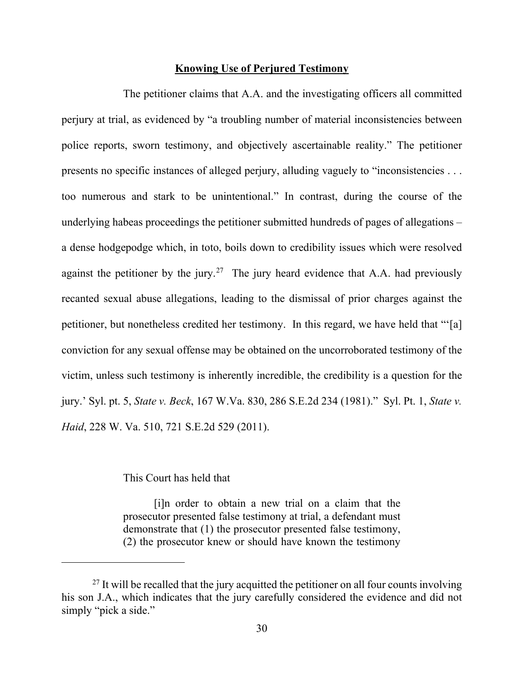# **Knowing Use of Perjured Testimony**

 The petitioner claims that A.A. and the investigating officers all committed perjury at trial, as evidenced by "a troubling number of material inconsistencies between police reports, sworn testimony, and objectively ascertainable reality." The petitioner presents no specific instances of alleged perjury, alluding vaguely to "inconsistencies . . . too numerous and stark to be unintentional." In contrast, during the course of the underlying habeas proceedings the petitioner submitted hundreds of pages of allegations – a dense hodgepodge which, in toto, boils down to credibility issues which were resolved against the petitioner by the jury.<sup>[27](#page-38-0)</sup> The jury heard evidence that A.A. had previously recanted sexual abuse allegations, leading to the dismissal of prior charges against the petitioner, but nonetheless credited her testimony. In this regard, we have held that "'[a] conviction for any sexual offense may be obtained on the uncorroborated testimony of the victim, unless such testimony is inherently incredible, the credibility is a question for the jury.' Syl. pt. 5, *State v. Beck*, 167 W.Va. 830, 286 S.E.2d 234 (1981)." Syl. Pt. 1, *State v. Haid*, 228 W. Va. 510, 721 S.E.2d 529 (2011).

# This Court has held that

[i]n order to obtain a new trial on a claim that the prosecutor presented false testimony at trial, a defendant must demonstrate that (1) the prosecutor presented false testimony, (2) the prosecutor knew or should have known the testimony

<span id="page-38-0"></span> $^{27}$  It will be recalled that the jury acquitted the petitioner on all four counts involving his son J.A., which indicates that the jury carefully considered the evidence and did not simply "pick a side."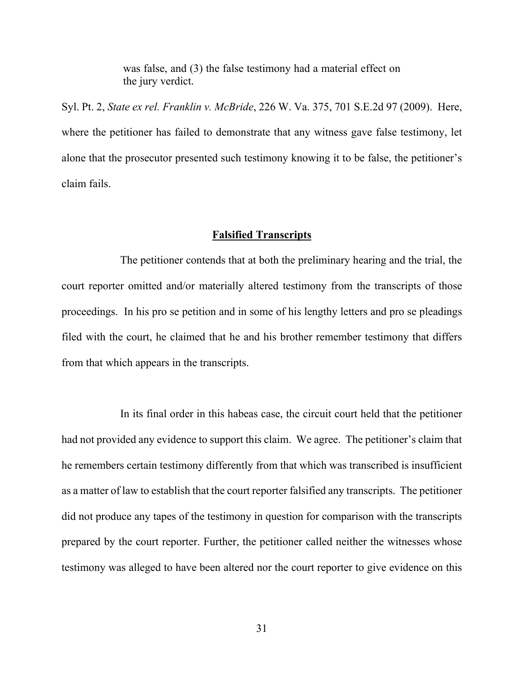was false, and (3) the false testimony had a material effect on the jury verdict.

Syl. Pt. 2, *State ex rel. Franklin v. McBride*, 226 W. Va. 375, 701 S.E.2d 97 (2009). Here, where the petitioner has failed to demonstrate that any witness gave false testimony, let alone that the prosecutor presented such testimony knowing it to be false, the petitioner's claim fails.

### **Falsified Transcripts**

 The petitioner contends that at both the preliminary hearing and the trial, the court reporter omitted and/or materially altered testimony from the transcripts of those proceedings. In his pro se petition and in some of his lengthy letters and pro se pleadings filed with the court, he claimed that he and his brother remember testimony that differs from that which appears in the transcripts.

 In its final order in this habeas case, the circuit court held that the petitioner had not provided any evidence to support this claim. We agree. The petitioner's claim that he remembers certain testimony differently from that which was transcribed is insufficient as a matter of law to establish that the court reporter falsified any transcripts. The petitioner did not produce any tapes of the testimony in question for comparison with the transcripts prepared by the court reporter. Further, the petitioner called neither the witnesses whose testimony was alleged to have been altered nor the court reporter to give evidence on this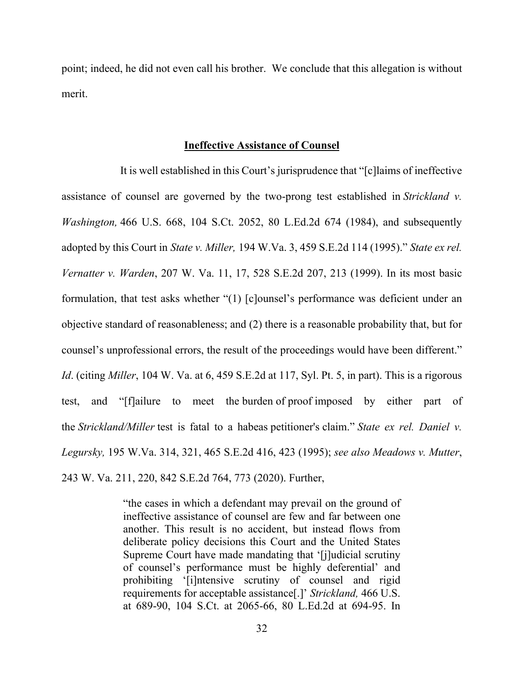point; indeed, he did not even call his brother. We conclude that this allegation is without merit.

#### **Ineffective Assistance of Counsel**

 It is well established in this Court's jurisprudence that "[c]laims of ineffective assistance of counsel are governed by the two-prong test established in *Strickland v. Washington,* 466 U.S. 668, 104 S.Ct. 2052, 80 L.Ed.2d 674 (1984), and subsequently adopted by this Court in *State v. Miller,* 194 W.Va. 3, 459 S.E.2d 114 (1995)." *State ex rel. Vernatter v. Warden*, 207 W. Va. 11, 17, 528 S.E.2d 207, 213 (1999). In its most basic formulation, that test asks whether "(1) [c]ounsel's performance was deficient under an objective standard of reasonableness; and (2) there is a reasonable probability that, but for counsel's unprofessional errors, the result of the proceedings would have been different." *Id*. (citing *Miller*, 104 W. Va. at 6, 459 S.E.2d at 117, Syl. Pt. 5, in part). This is a rigorous test, and "[f]ailure to meet the burden of proof imposed by either part of the *Strickland/Miller* test is fatal to a habeas petitioner's claim." *State ex rel. Daniel v. Legursky,* 195 W.Va. 314, 321, 465 S.E.2d 416, 423 (1995); *see also Meadows v. Mutter*, 243 W. Va. 211, 220, 842 S.E.2d 764, 773 (2020). Further,

> "the cases in which a defendant may prevail on the ground of ineffective assistance of counsel are few and far between one another. This result is no accident, but instead flows from deliberate policy decisions this Court and the United States Supreme Court have made mandating that '[j]udicial scrutiny of counsel's performance must be highly deferential' and prohibiting '[i]ntensive scrutiny of counsel and rigid requirements for acceptable assistance[.]' *Strickland,* 466 U.S. at 689-90, 104 S.Ct. at 2065-66, 80 L.Ed.2d at 694-95. In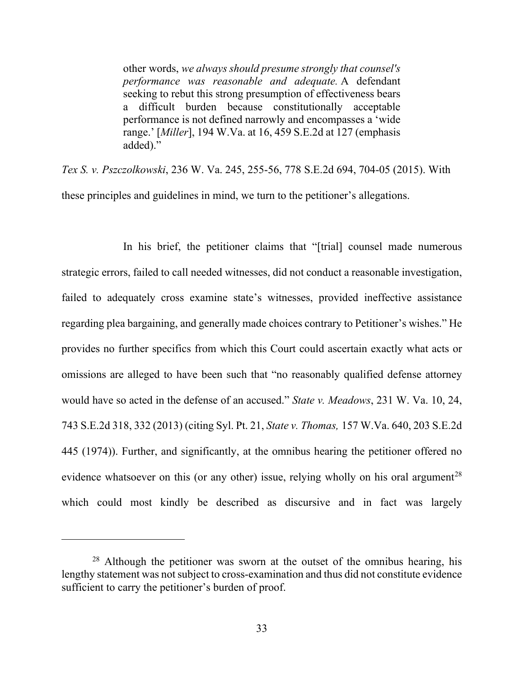other words, *we always should presume strongly that counsel's performance was reasonable and adequate.* A defendant seeking to rebut this strong presumption of effectiveness bears a difficult burden because constitutionally acceptable performance is not defined narrowly and encompasses a 'wide range.' [*Miller*], 194 W.Va. at 16, 459 S.E.2d at 127 (emphasis added)."

*Tex S. v. Pszczolkowski*, 236 W. Va. 245, 255-56, 778 S.E.2d 694, 704-05 (2015). With these principles and guidelines in mind, we turn to the petitioner's allegations.

In his brief, the petitioner claims that "[trial] counsel made numerous strategic errors, failed to call needed witnesses, did not conduct a reasonable investigation, failed to adequately cross examine state's witnesses, provided ineffective assistance regarding plea bargaining, and generally made choices contrary to Petitioner's wishes." He provides no further specifics from which this Court could ascertain exactly what acts or omissions are alleged to have been such that "no reasonably qualified defense attorney would have so acted in the defense of an accused." *State v. Meadows*, 231 W. Va. 10, 24, 743 S.E.2d 318, 332 (2013) (citing Syl. Pt. 21, *State v. Thomas,* 157 W.Va. 640, 203 S.E.2d 445 (1974)). Further, and significantly, at the omnibus hearing the petitioner offered no evidence whatsoever on this (or any other) issue, relying wholly on his oral argument<sup>28</sup> which could most kindly be described as discursive and in fact was largely

<span id="page-41-0"></span> $28$  Although the petitioner was sworn at the outset of the omnibus hearing, his lengthy statement was not subject to cross-examination and thus did not constitute evidence sufficient to carry the petitioner's burden of proof.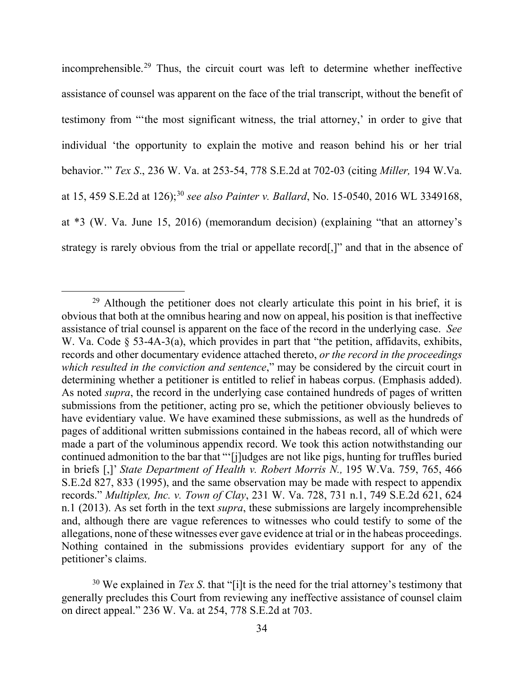incomprehensible.[29](#page-42-0) Thus, the circuit court was left to determine whether ineffective assistance of counsel was apparent on the face of the trial transcript, without the benefit of testimony from "'the most significant witness, the trial attorney,' in order to give that individual 'the opportunity to explain the motive and reason behind his or her trial behavior.'" *Tex S*., 236 W. Va. at 253-54, 778 S.E.2d at 702-03 (citing *Miller,* 194 W.Va. at 15, 459 S.E.2d at 126);[30](#page-42-1) *see also Painter v. Ballard*, No. 15-0540, 2016 WL 3349168, at \*3 (W. Va. June 15, 2016) (memorandum decision) (explaining "that an attorney's strategy is rarely obvious from the trial or appellate record[,]" and that in the absence of

<span id="page-42-0"></span> $29$  Although the petitioner does not clearly articulate this point in his brief, it is obvious that both at the omnibus hearing and now on appeal, his position is that ineffective assistance of trial counsel is apparent on the face of the record in the underlying case. *See* W. Va. Code § 53-4A-3(a), which provides in part that "the petition, affidavits, exhibits, records and other documentary evidence attached thereto, *or the record in the proceedings which resulted in the conviction and sentence*," may be considered by the circuit court in determining whether a petitioner is entitled to relief in habeas corpus. (Emphasis added). As noted *supra*, the record in the underlying case contained hundreds of pages of written submissions from the petitioner, acting pro se, which the petitioner obviously believes to have evidentiary value. We have examined these submissions, as well as the hundreds of pages of additional written submissions contained in the habeas record, all of which were made a part of the voluminous appendix record. We took this action notwithstanding our continued admonition to the bar that "'[j]udges are not like pigs, hunting for truffles buried in briefs [,]' *State Department of Health v. Robert Morris N.,* 195 W.Va. 759, 765, 466 S.E.2d 827, 833 (1995), and the same observation may be made with respect to appendix records." *Multiplex, Inc. v. Town of Clay*, 231 W. Va. 728, 731 n.1, 749 S.E.2d 621, 624 n.1 (2013). As set forth in the text *supra*, these submissions are largely incomprehensible and, although there are vague references to witnesses who could testify to some of the allegations, none of these witnesses ever gave evidence at trial or in the habeas proceedings. Nothing contained in the submissions provides evidentiary support for any of the petitioner's claims.

<span id="page-42-1"></span><sup>&</sup>lt;sup>30</sup> We explained in *Tex S*, that "[i]t is the need for the trial attorney's testimony that generally precludes this Court from reviewing any ineffective assistance of counsel claim on direct appeal." 236 W. Va. at 254, 778 S.E.2d at 703.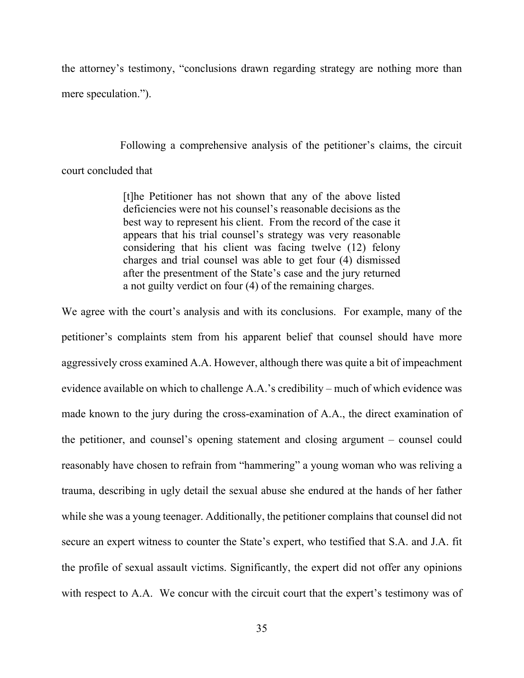the attorney's testimony, "conclusions drawn regarding strategy are nothing more than mere speculation.").

Following a comprehensive analysis of the petitioner's claims, the circuit

court concluded that

[t]he Petitioner has not shown that any of the above listed deficiencies were not his counsel's reasonable decisions as the best way to represent his client. From the record of the case it appears that his trial counsel's strategy was very reasonable considering that his client was facing twelve (12) felony charges and trial counsel was able to get four (4) dismissed after the presentment of the State's case and the jury returned a not guilty verdict on four (4) of the remaining charges.

We agree with the court's analysis and with its conclusions. For example, many of the petitioner's complaints stem from his apparent belief that counsel should have more aggressively cross examined A.A. However, although there was quite a bit of impeachment evidence available on which to challenge  $A.A.'s$  credibility – much of which evidence was made known to the jury during the cross-examination of A.A., the direct examination of the petitioner, and counsel's opening statement and closing argument – counsel could reasonably have chosen to refrain from "hammering" a young woman who was reliving a trauma, describing in ugly detail the sexual abuse she endured at the hands of her father while she was a young teenager. Additionally, the petitioner complains that counsel did not secure an expert witness to counter the State's expert, who testified that S.A. and J.A. fit the profile of sexual assault victims. Significantly, the expert did not offer any opinions with respect to A.A. We concur with the circuit court that the expert's testimony was of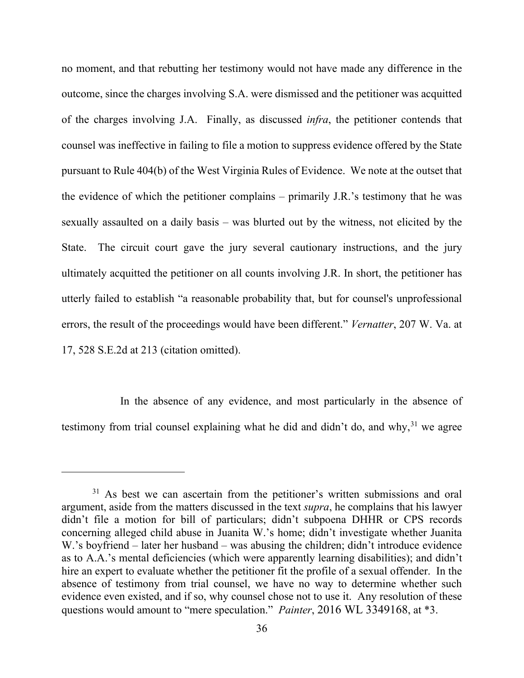no moment, and that rebutting her testimony would not have made any difference in the outcome, since the charges involving S.A. were dismissed and the petitioner was acquitted of the charges involving J.A. Finally, as discussed *infra*, the petitioner contends that counsel was ineffective in failing to file a motion to suppress evidence offered by the State pursuant to Rule 404(b) of the West Virginia Rules of Evidence. We note at the outset that the evidence of which the petitioner complains  $-$  primarily J.R.'s testimony that he was sexually assaulted on a daily basis – was blurted out by the witness, not elicited by the State. The circuit court gave the jury several cautionary instructions, and the jury ultimately acquitted the petitioner on all counts involving J.R. In short, the petitioner has utterly failed to establish "a reasonable probability that, but for counsel's unprofessional errors, the result of the proceedings would have been different." *Vernatter*, 207 W. Va. at 17, 528 S.E.2d at 213 (citation omitted).

 In the absence of any evidence, and most particularly in the absence of testimony from trial counsel explaining what he did and didn't do, and why,  $31$  we agree

<span id="page-44-0"></span><sup>&</sup>lt;sup>31</sup> As best we can ascertain from the petitioner's written submissions and oral argument, aside from the matters discussed in the text *supra*, he complains that his lawyer didn't file a motion for bill of particulars; didn't subpoena DHHR or CPS records concerning alleged child abuse in Juanita W.'s home; didn't investigate whether Juanita W.'s boyfriend – later her husband – was abusing the children; didn't introduce evidence as to A.A.'s mental deficiencies (which were apparently learning disabilities); and didn't hire an expert to evaluate whether the petitioner fit the profile of a sexual offender. In the absence of testimony from trial counsel, we have no way to determine whether such evidence even existed, and if so, why counsel chose not to use it. Any resolution of these questions would amount to "mere speculation." *Painter*, 2016 WL 3349168, at \*3.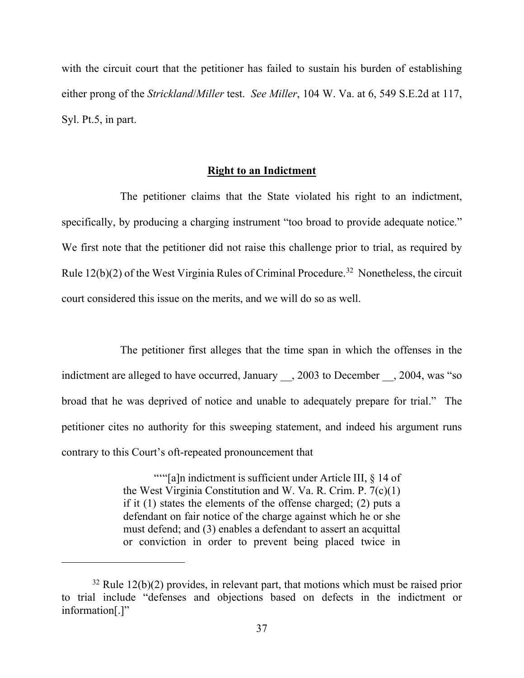with the circuit court that the petitioner has failed to sustain his burden of establishing either prong of the *Strickland*/*Miller* test. *See Miller*, 104 W. Va. at 6, 549 S.E.2d at 117, Syl. Pt.5, in part.

# **Right to an Indictment**

 The petitioner claims that the State violated his right to an indictment, specifically, by producing a charging instrument "too broad to provide adequate notice." We first note that the petitioner did not raise this challenge prior to trial, as required by Rule  $12(b)(2)$  of the West Virginia Rules of Criminal Procedure.<sup>[32](#page-45-0)</sup> Nonetheless, the circuit court considered this issue on the merits, and we will do so as well.

 The petitioner first alleges that the time span in which the offenses in the indictment are alleged to have occurred, January , 2003 to December , 2004, was "so broad that he was deprived of notice and unable to adequately prepare for trial." The petitioner cites no authority for this sweeping statement, and indeed his argument runs contrary to this Court's oft-repeated pronouncement that

> ""[a]n indictment is sufficient under Article III, § 14 of the West Virginia Constitution and W. Va. R. Crim. P. 7(c)(1) if it (1) states the elements of the offense charged; (2) puts a defendant on fair notice of the charge against which he or she must defend; and (3) enables a defendant to assert an acquittal or conviction in order to prevent being placed twice in

<span id="page-45-0"></span> $32$  Rule 12(b)(2) provides, in relevant part, that motions which must be raised prior to trial include "defenses and objections based on defects in the indictment or information[.]"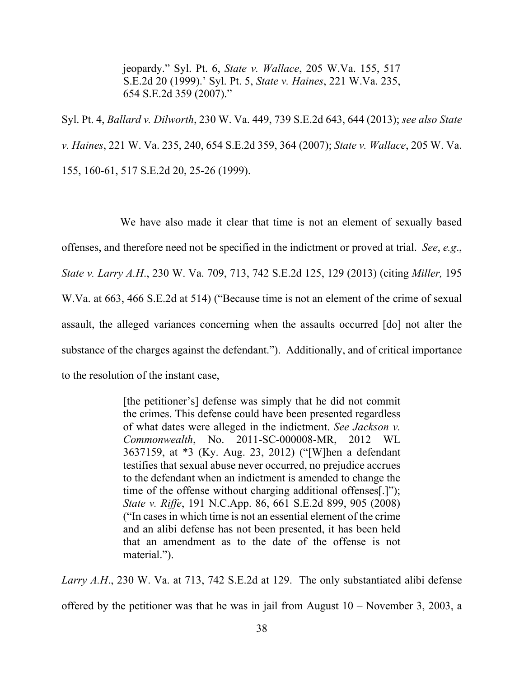jeopardy." Syl. Pt. 6, *State v. Wallace*, 205 W.Va. 155, 517 S.E.2d 20 (1999).' Syl. Pt. 5, *State v. Haines*, 221 W.Va. 235, 654 S.E.2d 359 (2007)."

Syl. Pt. 4, *Ballard v. Dilworth*, 230 W. Va. 449, 739 S.E.2d 643, 644 (2013); *see also State v. Haines*, 221 W. Va. 235, 240, 654 S.E.2d 359, 364 (2007); *State v. Wallace*, 205 W. Va. 155, 160-61, 517 S.E.2d 20, 25-26 (1999).

 We have also made it clear that time is not an element of sexually based offenses, and therefore need not be specified in the indictment or proved at trial. *See*, *e.g*., *State v. Larry A.H*., 230 W. Va. 709, 713, 742 S.E.2d 125, 129 (2013) (citing *Miller,* 195 W.Va. at 663, 466 S.E.2d at 514) ("Because time is not an element of the crime of sexual assault, the alleged variances concerning when the assaults occurred [do] not alter the substance of the charges against the defendant."). Additionally, and of critical importance to the resolution of the instant case,

> [the petitioner's] defense was simply that he did not commit the crimes. This defense could have been presented regardless of what dates were alleged in the indictment. *See Jackson v. Commonwealth*, No. 2011-SC-000008-MR, 2012 WL 3637159, at \*3 (Ky. Aug. 23, 2012) ("[W]hen a defendant testifies that sexual abuse never occurred, no prejudice accrues to the defendant when an indictment is amended to change the time of the offense without charging additional offenses[.]"); *State v. Riffe*, 191 N.C.App. 86, 661 S.E.2d 899, 905 (2008) ("In cases in which time is not an essential element of the crime and an alibi defense has not been presented, it has been held that an amendment as to the date of the offense is not material.").

*Larry A.H*., 230 W. Va. at 713, 742 S.E.2d at 129. The only substantiated alibi defense offered by the petitioner was that he was in jail from August  $10 -$ November 3, 2003, a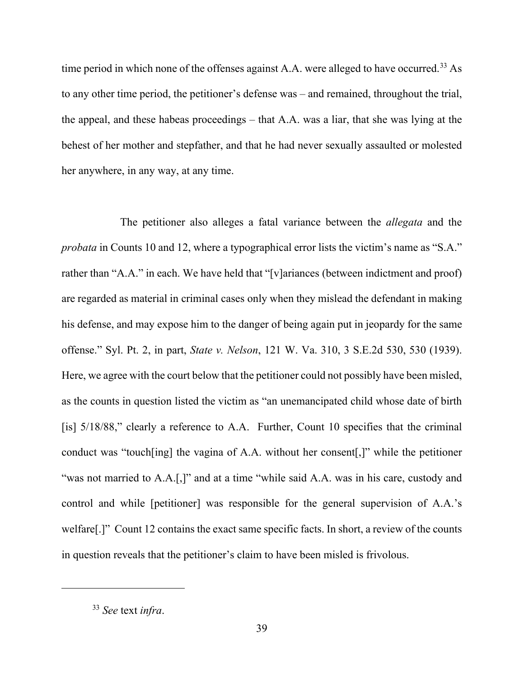time period in which none of the offenses against A.A. were alleged to have occurred.<sup>[33](#page-47-0)</sup> As to any other time period, the petitioner's defense was – and remained, throughout the trial, the appeal, and these habeas proceedings – that A.A. was a liar, that she was lying at the behest of her mother and stepfather, and that he had never sexually assaulted or molested her anywhere, in any way, at any time.

 The petitioner also alleges a fatal variance between the *allegata* and the *probata* in Counts 10 and 12, where a typographical error lists the victim's name as "S.A." rather than "A.A." in each. We have held that "[v]ariances (between indictment and proof) are regarded as material in criminal cases only when they mislead the defendant in making his defense, and may expose him to the danger of being again put in jeopardy for the same offense." Syl. Pt. 2, in part, *State v. Nelson*, 121 W. Va. 310, 3 S.E.2d 530, 530 (1939). Here, we agree with the court below that the petitioner could not possibly have been misled, as the counts in question listed the victim as "an unemancipated child whose date of birth [is]  $5/18/88$ ," clearly a reference to A.A. Further, Count 10 specifies that the criminal conduct was "touch[ing] the vagina of A.A. without her consent[,]" while the petitioner "was not married to A.A.[,]" and at a time "while said A.A. was in his care, custody and control and while [petitioner] was responsible for the general supervision of A.A.'s welfare[.]" Count 12 contains the exact same specific facts. In short, a review of the counts in question reveals that the petitioner's claim to have been misled is frivolous.

<span id="page-47-0"></span><sup>33</sup> *See* text *infra*.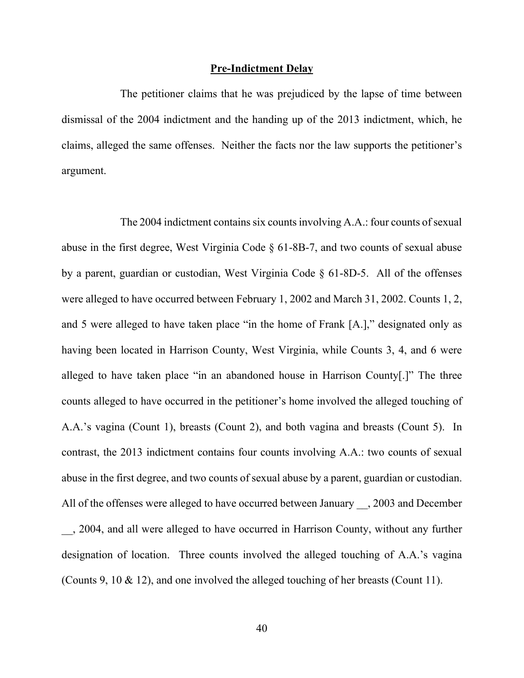#### **Pre-Indictment Delay**

 The petitioner claims that he was prejudiced by the lapse of time between dismissal of the 2004 indictment and the handing up of the 2013 indictment, which, he claims, alleged the same offenses. Neither the facts nor the law supports the petitioner's argument.

 The 2004 indictment contains six counts involving A.A.: four counts of sexual abuse in the first degree, West Virginia Code § 61-8B-7, and two counts of sexual abuse by a parent, guardian or custodian, West Virginia Code § 61-8D-5. All of the offenses were alleged to have occurred between February 1, 2002 and March 31, 2002. Counts 1, 2, and 5 were alleged to have taken place "in the home of Frank [A.]," designated only as having been located in Harrison County, West Virginia, while Counts 3, 4, and 6 were alleged to have taken place "in an abandoned house in Harrison County[.]" The three counts alleged to have occurred in the petitioner's home involved the alleged touching of A.A.'s vagina (Count 1), breasts (Count 2), and both vagina and breasts (Count 5). In contrast, the 2013 indictment contains four counts involving A.A.: two counts of sexual abuse in the first degree, and two counts of sexual abuse by a parent, guardian or custodian. All of the offenses were alleged to have occurred between January , 2003 and December \_\_, 2004, and all were alleged to have occurred in Harrison County, without any further designation of location. Three counts involved the alleged touching of A.A.'s vagina (Counts 9, 10 & 12), and one involved the alleged touching of her breasts (Count 11).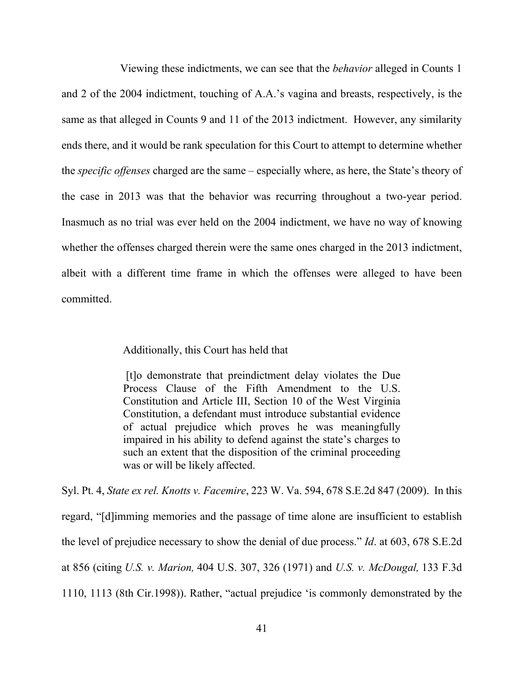Viewing these indictments, we can see that the *behavior* alleged in Counts 1 and 2 of the 2004 indictment, touching of A.A.'s vagina and breasts, respectively, is the same as that alleged in Counts 9 and 11 of the 2013 indictment. However, any similarity ends there, and it would be rank speculation for this Court to attempt to determine whether the *specific offenses* charged are the same – especially where, as here, the State's theory of the case in 2013 was that the behavior was recurring throughout a two-year period. Inasmuch as no trial was ever held on the 2004 indictment, we have no way of knowing whether the offenses charged therein were the same ones charged in the 2013 indictment, albeit with a different time frame in which the offenses were alleged to have been committed.

# Additionally, this Court has held that

[t]o demonstrate that preindictment delay violates the Due Process Clause of the Fifth Amendment to the U.S. Constitution and Article III, Section 10 of the West Virginia Constitution, a defendant must introduce substantial evidence of actual prejudice which proves he was meaningfully impaired in his ability to defend against the state's charges to such an extent that the disposition of the criminal proceeding was or will be likely affected.

Syl. Pt. 4, *State ex rel. Knotts v. Facemire*, 223 W. Va. 594, 678 S.E.2d 847 (2009). In this regard, "[d]imming memories and the passage of time alone are insufficient to establish the level of prejudice necessary to show the denial of due process." *Id*. at 603, 678 S.E.2d at 856 (citing *U.S. v. Marion,* 404 U.S. 307, 326 (1971) and *U.S. v. McDougal,* 133 F.3d 1110, 1113 (8th Cir.1998)). Rather, "actual prejudice 'is commonly demonstrated by the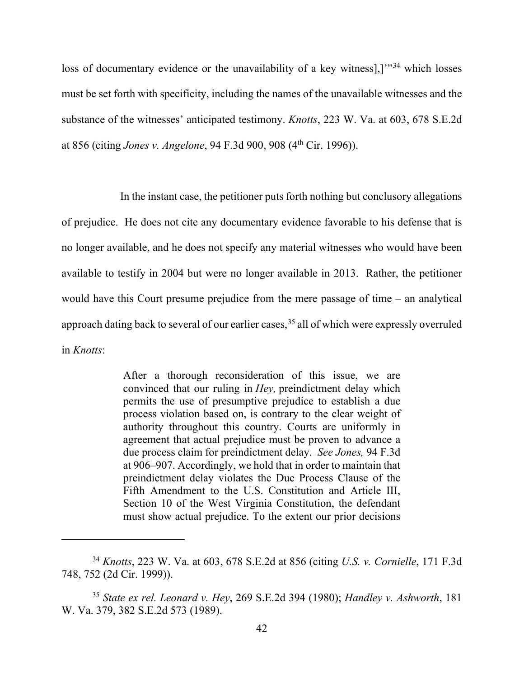loss of documentary evidence or the unavailability of a key witness],]<sup>"[34](#page-50-0)</sup> which losses must be set forth with specificity, including the names of the unavailable witnesses and the substance of the witnesses' anticipated testimony. *Knotts*, 223 W. Va. at 603, 678 S.E.2d at 856 (citing *Jones v. Angelone*, 94 F.3d 900, 908 (4th Cir. 1996)).

 In the instant case, the petitioner puts forth nothing but conclusory allegations of prejudice. He does not cite any documentary evidence favorable to his defense that is no longer available, and he does not specify any material witnesses who would have been available to testify in 2004 but were no longer available in 2013. Rather, the petitioner would have this Court presume prejudice from the mere passage of time – an analytical approach dating back to several of our earlier cases,<sup>[35](#page-50-1)</sup> all of which were expressly overruled in *Knotts*:

> After a thorough reconsideration of this issue, we are convinced that our ruling in *Hey,* preindictment delay which permits the use of presumptive prejudice to establish a due process violation based on, is contrary to the clear weight of authority throughout this country. Courts are uniformly in agreement that actual prejudice must be proven to advance a due process claim for preindictment delay. *See Jones,* 94 F.3d at 906–907. Accordingly, we hold that in order to maintain that preindictment delay violates the Due Process Clause of the Fifth Amendment to the U.S. Constitution and Article III, Section 10 of the West Virginia Constitution, the defendant must show actual prejudice. To the extent our prior decisions

<span id="page-50-0"></span><sup>34</sup> *Knotts*, 223 W. Va. at 603, 678 S.E.2d at 856 (citing *U.S. v. Cornielle*, 171 F.3d 748, 752 (2d Cir. 1999)).

<span id="page-50-1"></span><sup>35</sup> *State ex rel. Leonard v. Hey*, 269 S.E.2d 394 (1980); *Handley v. Ashworth*, 181 W. Va. 379, 382 S.E.2d 573 (1989).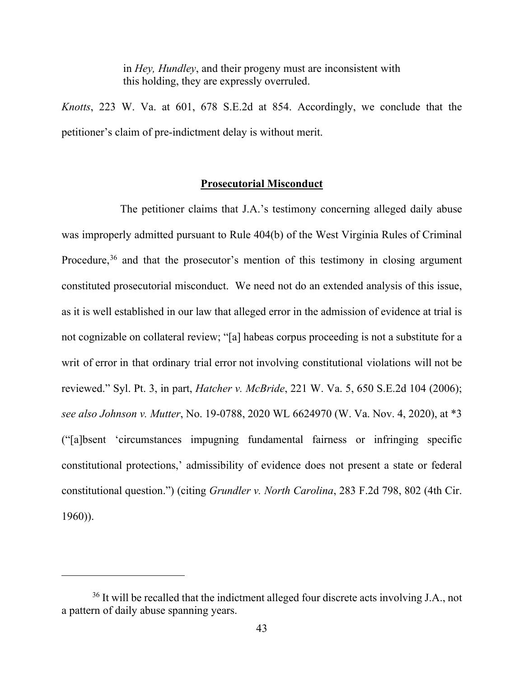in *Hey, Hundley*, and their progeny must are inconsistent with this holding, they are expressly overruled.

*Knotts*, 223 W. Va. at 601, 678 S.E.2d at 854. Accordingly, we conclude that the petitioner's claim of pre-indictment delay is without merit.

# **Prosecutorial Misconduct**

 The petitioner claims that J.A.'s testimony concerning alleged daily abuse was improperly admitted pursuant to Rule 404(b) of the West Virginia Rules of Criminal Procedure,<sup>36</sup> and that the prosecutor's mention of this testimony in closing argument constituted prosecutorial misconduct. We need not do an extended analysis of this issue, as it is well established in our law that alleged error in the admission of evidence at trial is not cognizable on collateral review; "[a] habeas corpus proceeding is not a substitute for a writ of error in that ordinary trial error not involving constitutional violations will not be reviewed." Syl. Pt. 3, in part, *Hatcher v. McBride*, 221 W. Va. 5, 650 S.E.2d 104 (2006); *see also Johnson v. Mutter*, No. 19-0788, 2020 WL 6624970 (W. Va. Nov. 4, 2020), at \*3 ("[a]bsent 'circumstances impugning fundamental fairness or infringing specific constitutional protections,' admissibility of evidence does not present a state or federal constitutional question.") (citing *Grundler v. North Carolina*, 283 F.2d 798, 802 (4th Cir. 1960)).

<span id="page-51-0"></span><sup>&</sup>lt;sup>36</sup> It will be recalled that the indictment alleged four discrete acts involving J.A., not a pattern of daily abuse spanning years.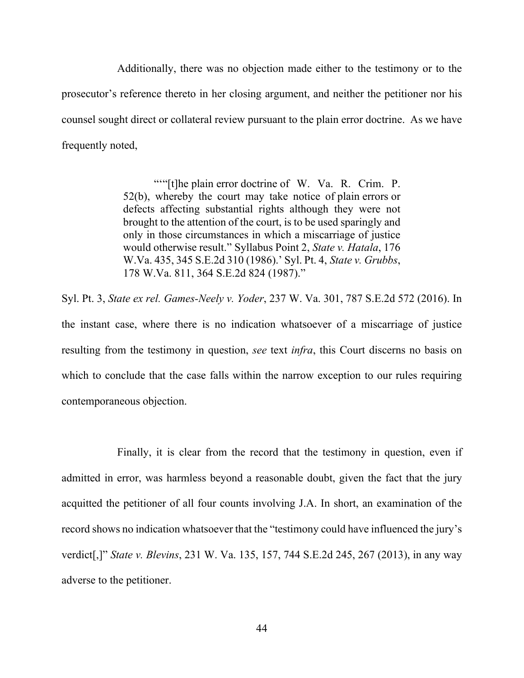Additionally, there was no objection made either to the testimony or to the prosecutor's reference thereto in her closing argument, and neither the petitioner nor his counsel sought direct or collateral review pursuant to the plain error doctrine. As we have frequently noted,

> """[t]he plain error doctrine of W. Va. R. Crim. P. 52(b), whereby the court may take notice of plain errors or defects affecting substantial rights although they were not brought to the attention of the court, is to be used sparingly and only in those circumstances in which a miscarriage of justice would otherwise result." Syllabus Point 2, *State v. Hatala*, 176 W.Va. 435, 345 S.E.2d 310 (1986).' Syl. Pt. 4, *State v. Grubbs*, 178 W.Va. 811, 364 S.E.2d 824 (1987)."

Syl. Pt. 3, *State ex rel. Games-Neely v. Yoder*, 237 W. Va. 301, 787 S.E.2d 572 (2016). In the instant case, where there is no indication whatsoever of a miscarriage of justice resulting from the testimony in question, *see* text *infra*, this Court discerns no basis on which to conclude that the case falls within the narrow exception to our rules requiring contemporaneous objection.

 Finally, it is clear from the record that the testimony in question, even if admitted in error, was harmless beyond a reasonable doubt, given the fact that the jury acquitted the petitioner of all four counts involving J.A. In short, an examination of the record shows no indication whatsoever that the "testimony could have influenced the jury's verdict[,]" *State v. Blevins*, 231 W. Va. 135, 157, 744 S.E.2d 245, 267 (2013), in any way adverse to the petitioner.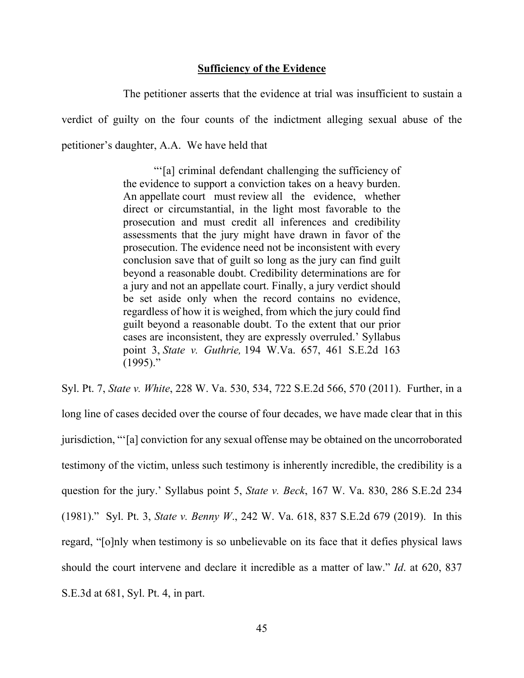# **Sufficiency of the Evidence**

The petitioner asserts that the evidence at trial was insufficient to sustain a verdict of guilty on the four counts of the indictment alleging sexual abuse of the petitioner's daughter, A.A. We have held that

> "'[a] criminal defendant challenging the sufficiency of the evidence to support a conviction takes on a heavy burden. An appellate court must review all the evidence, whether direct or circumstantial, in the light most favorable to the prosecution and must credit all inferences and credibility assessments that the jury might have drawn in favor of the prosecution. The evidence need not be inconsistent with every conclusion save that of guilt so long as the jury can find guilt beyond a reasonable doubt. Credibility determinations are for a jury and not an appellate court. Finally, a jury verdict should be set aside only when the record contains no evidence, regardless of how it is weighed, from which the jury could find guilt beyond a reasonable doubt. To the extent that our prior cases are inconsistent, they are expressly overruled.' Syllabus point 3, *State v. Guthrie,* 194 W.Va. 657, 461 S.E.2d 163 (1995)."

Syl. Pt. 7, *State v. White*, 228 W. Va. 530, 534, 722 S.E.2d 566, 570 (2011). Further, in a long line of cases decided over the course of four decades, we have made clear that in this jurisdiction, "'[a] conviction for any sexual offense may be obtained on the uncorroborated testimony of the victim, unless such testimony is inherently incredible, the credibility is a question for the jury.' Syllabus point 5, *State v. Beck*, 167 W. Va. 830, 286 S.E.2d 234 (1981)." Syl. Pt. 3, *State v. Benny W*., 242 W. Va. 618, 837 S.E.2d 679 (2019). In this regard, "[o]nly when testimony is so unbelievable on its face that it defies physical laws should the court intervene and declare it incredible as a matter of law." *Id*. at 620, 837 S.E.3d at 681, Syl. Pt. 4, in part.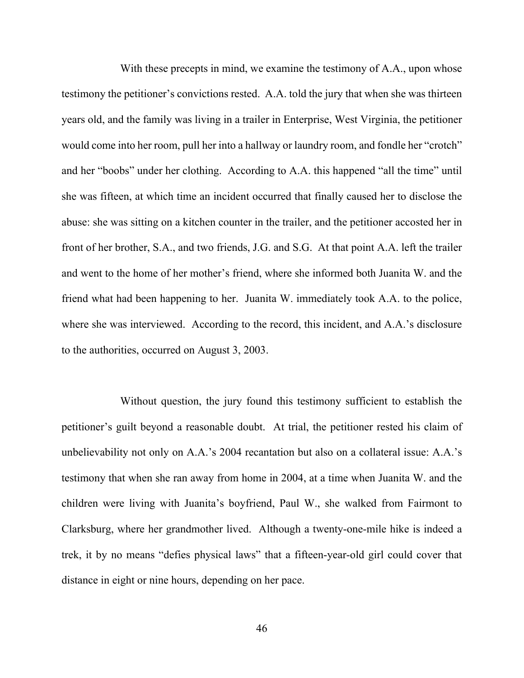With these precepts in mind, we examine the testimony of A.A., upon whose testimony the petitioner's convictions rested. A.A. told the jury that when she was thirteen years old, and the family was living in a trailer in Enterprise, West Virginia, the petitioner would come into her room, pull her into a hallway or laundry room, and fondle her "crotch" and her "boobs" under her clothing. According to A.A. this happened "all the time" until she was fifteen, at which time an incident occurred that finally caused her to disclose the abuse: she was sitting on a kitchen counter in the trailer, and the petitioner accosted her in front of her brother, S.A., and two friends, J.G. and S.G. At that point A.A. left the trailer and went to the home of her mother's friend, where she informed both Juanita W. and the friend what had been happening to her. Juanita W. immediately took A.A. to the police, where she was interviewed. According to the record, this incident, and A.A.'s disclosure to the authorities, occurred on August 3, 2003.

 Without question, the jury found this testimony sufficient to establish the petitioner's guilt beyond a reasonable doubt. At trial, the petitioner rested his claim of unbelievability not only on A.A.'s 2004 recantation but also on a collateral issue: A.A.'s testimony that when she ran away from home in 2004, at a time when Juanita W. and the children were living with Juanita's boyfriend, Paul W., she walked from Fairmont to Clarksburg, where her grandmother lived. Although a twenty-one-mile hike is indeed a trek, it by no means "defies physical laws" that a fifteen-year-old girl could cover that distance in eight or nine hours, depending on her pace.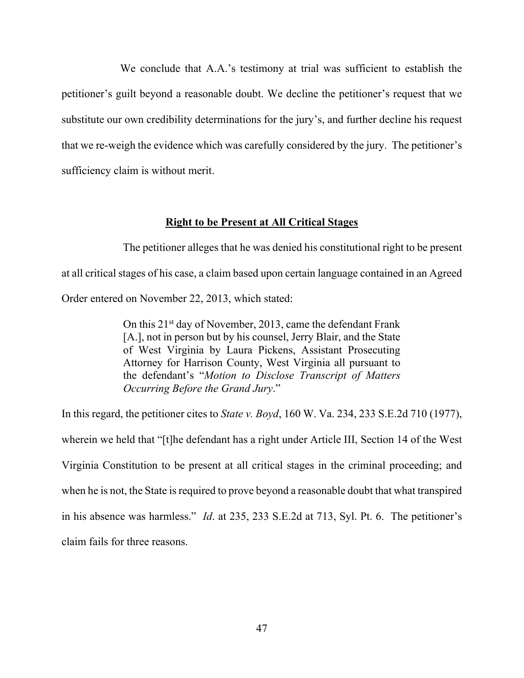We conclude that A.A.'s testimony at trial was sufficient to establish the petitioner's guilt beyond a reasonable doubt. We decline the petitioner's request that we substitute our own credibility determinations for the jury's, and further decline his request that we re-weigh the evidence which was carefully considered by the jury. The petitioner's sufficiency claim is without merit.

# **Right to be Present at All Critical Stages**

 The petitioner alleges that he was denied his constitutional right to be present at all critical stages of his case, a claim based upon certain language contained in an Agreed Order entered on November 22, 2013, which stated:

> On this  $21^{st}$  day of November, 2013, came the defendant Frank [A.], not in person but by his counsel, Jerry Blair, and the State of West Virginia by Laura Pickens, Assistant Prosecuting Attorney for Harrison County, West Virginia all pursuant to the defendant's "*Motion to Disclose Transcript of Matters Occurring Before the Grand Jury*."

In this regard, the petitioner cites to *State v. Boyd*, 160 W. Va. 234, 233 S.E.2d 710 (1977), wherein we held that "[t]he defendant has a right under Article III, Section 14 of the West Virginia Constitution to be present at all critical stages in the criminal proceeding; and when he is not, the State is required to prove beyond a reasonable doubt that what transpired in his absence was harmless." *Id*. at 235, 233 S.E.2d at 713, Syl. Pt. 6. The petitioner's claim fails for three reasons.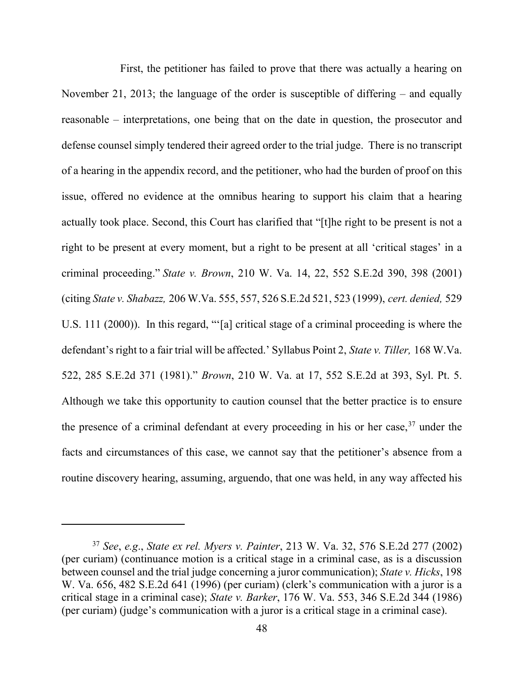First, the petitioner has failed to prove that there was actually a hearing on November 21, 2013; the language of the order is susceptible of differing  $-$  and equally reasonable – interpretations, one being that on the date in question, the prosecutor and defense counsel simply tendered their agreed order to the trial judge. There is no transcript of a hearing in the appendix record, and the petitioner, who had the burden of proof on this issue, offered no evidence at the omnibus hearing to support his claim that a hearing actually took place. Second, this Court has clarified that "[t]he right to be present is not a right to be present at every moment, but a right to be present at all 'critical stages' in a criminal proceeding." *State v. Brown*, 210 W. Va. 14, 22, 552 S.E.2d 390, 398 (2001) (citing *State v. Shabazz,* 206 W.Va. 555, 557, 526 S.E.2d 521, 523 (1999), *cert. denied,* 529 U.S. 111 (2000)). In this regard, "'[a] critical stage of a criminal proceeding is where the defendant's right to a fair trial will be affected.' Syllabus Point 2, *State v. Tiller,* 168 W.Va. 522, 285 S.E.2d 371 (1981)." *Brown*, 210 W. Va. at 17, 552 S.E.2d at 393, Syl. Pt. 5. Although we take this opportunity to caution counsel that the better practice is to ensure the presence of a criminal defendant at every proceeding in his or her case,  $37$  under the facts and circumstances of this case, we cannot say that the petitioner's absence from a routine discovery hearing, assuming, arguendo, that one was held, in any way affected his

<span id="page-56-0"></span><sup>37</sup> *See*, *e.g*., *State ex rel. Myers v. Painter*, 213 W. Va. 32, 576 S.E.2d 277 (2002) (per curiam) (continuance motion is a critical stage in a criminal case, as is a discussion between counsel and the trial judge concerning a juror communication); *State v. Hicks*, 198 W. Va. 656, 482 S.E.2d 641 (1996) (per curiam) (clerk's communication with a juror is a critical stage in a criminal case); *State v. Barker*, 176 W. Va. 553, 346 S.E.2d 344 (1986) (per curiam) (judge's communication with a juror is a critical stage in a criminal case).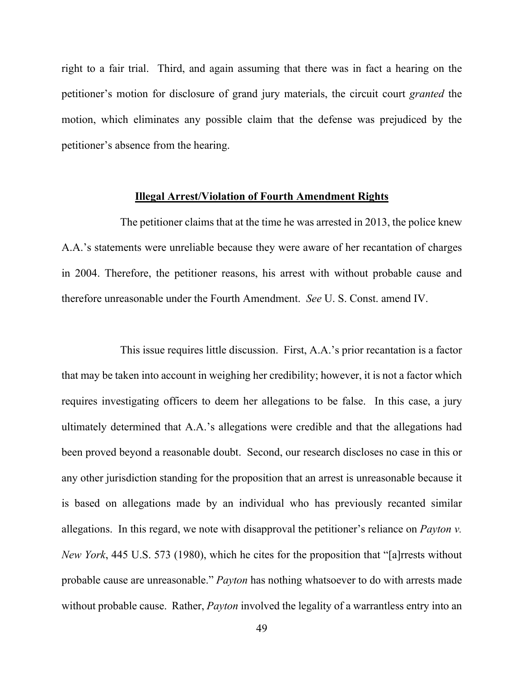right to a fair trial. Third, and again assuming that there was in fact a hearing on the petitioner's motion for disclosure of grand jury materials, the circuit court *granted* the motion, which eliminates any possible claim that the defense was prejudiced by the petitioner's absence from the hearing.

#### **Illegal Arrest/Violation of Fourth Amendment Rights**

 The petitioner claims that at the time he was arrested in 2013, the police knew A.A.'s statements were unreliable because they were aware of her recantation of charges in 2004. Therefore, the petitioner reasons, his arrest with without probable cause and therefore unreasonable under the Fourth Amendment. *See* U. S. Const. amend IV.

 This issue requires little discussion. First, A.A.'s prior recantation is a factor that may be taken into account in weighing her credibility; however, it is not a factor which requires investigating officers to deem her allegations to be false. In this case, a jury ultimately determined that A.A.'s allegations were credible and that the allegations had been proved beyond a reasonable doubt. Second, our research discloses no case in this or any other jurisdiction standing for the proposition that an arrest is unreasonable because it is based on allegations made by an individual who has previously recanted similar allegations. In this regard, we note with disapproval the petitioner's reliance on *Payton v. New York*, 445 U.S. 573 (1980), which he cites for the proposition that "[a]rrests without probable cause are unreasonable." *Payton* has nothing whatsoever to do with arrests made without probable cause. Rather, *Payton* involved the legality of a warrantless entry into an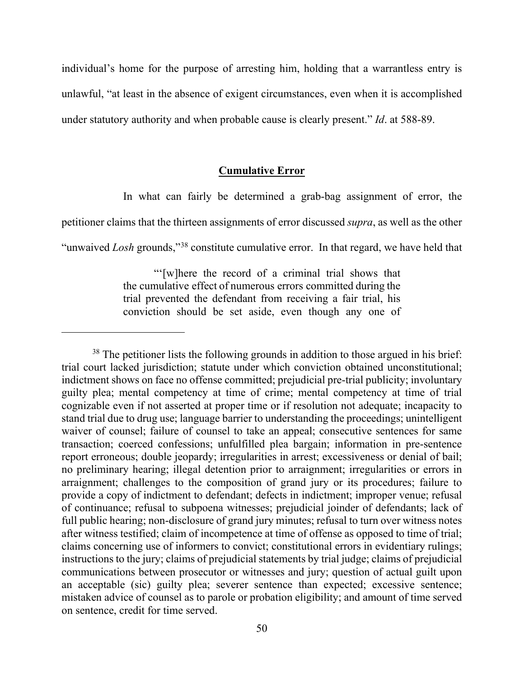individual's home for the purpose of arresting him, holding that a warrantless entry is unlawful, "at least in the absence of exigent circumstances, even when it is accomplished under statutory authority and when probable cause is clearly present." *Id*. at 588-89.

# **Cumulative Error**

In what can fairly be determined a grab-bag assignment of error, the

petitioner claims that the thirteen assignments of error discussed *supra*, as well as the other

"unwaived *Losh* grounds,"[38](#page-58-0) constitute cumulative error. In that regard, we have held that

"'[w]here the record of a criminal trial shows that the cumulative effect of numerous errors committed during the trial prevented the defendant from receiving a fair trial, his conviction should be set aside, even though any one of

<span id="page-58-0"></span><sup>&</sup>lt;sup>38</sup> The petitioner lists the following grounds in addition to those argued in his brief: trial court lacked jurisdiction; statute under which conviction obtained unconstitutional; indictment shows on face no offense committed; prejudicial pre-trial publicity; involuntary guilty plea; mental competency at time of crime; mental competency at time of trial cognizable even if not asserted at proper time or if resolution not adequate; incapacity to stand trial due to drug use; language barrier to understanding the proceedings; unintelligent waiver of counsel; failure of counsel to take an appeal; consecutive sentences for same transaction; coerced confessions; unfulfilled plea bargain; information in pre-sentence report erroneous; double jeopardy; irregularities in arrest; excessiveness or denial of bail; no preliminary hearing; illegal detention prior to arraignment; irregularities or errors in arraignment; challenges to the composition of grand jury or its procedures; failure to provide a copy of indictment to defendant; defects in indictment; improper venue; refusal of continuance; refusal to subpoena witnesses; prejudicial joinder of defendants; lack of full public hearing; non-disclosure of grand jury minutes; refusal to turn over witness notes after witness testified; claim of incompetence at time of offense as opposed to time of trial; claims concerning use of informers to convict; constitutional errors in evidentiary rulings; instructions to the jury; claims of prejudicial statements by trial judge; claims of prejudicial communications between prosecutor or witnesses and jury; question of actual guilt upon an acceptable (sic) guilty plea; severer sentence than expected; excessive sentence; mistaken advice of counsel as to parole or probation eligibility; and amount of time served on sentence, credit for time served.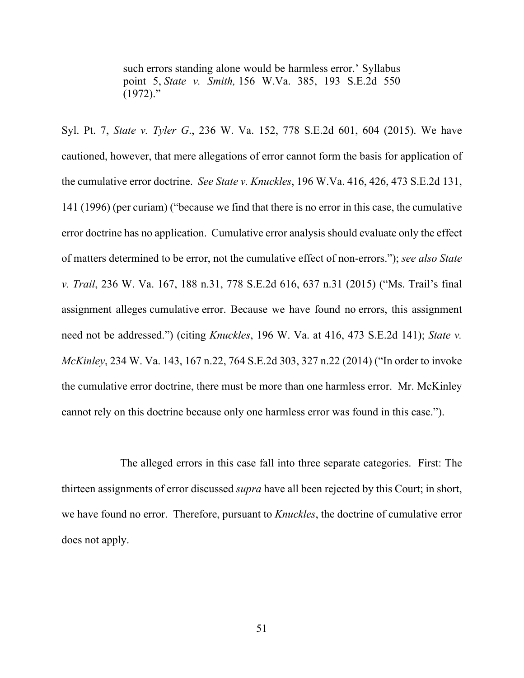such errors standing alone would be harmless error.' Syllabus point 5, *State v. Smith,* 156 W.Va. 385, 193 S.E.2d 550  $(1972)$ ."

Syl. Pt. 7, *State v. Tyler G*., 236 W. Va. 152, 778 S.E.2d 601, 604 (2015). We have cautioned, however, that mere allegations of error cannot form the basis for application of the cumulative error doctrine. *See State v. Knuckles*, 196 W.Va. 416, 426, 473 S.E.2d 131, 141 (1996) (per curiam) ("because we find that there is no error in this case, the cumulative error doctrine has no application. Cumulative error analysis should evaluate only the effect of matters determined to be error, not the cumulative effect of non-errors."); *see also State v. Trail*, 236 W. Va. 167, 188 n.31, 778 S.E.2d 616, 637 n.31 (2015) ("Ms. Trail's final assignment alleges cumulative error. Because we have found no errors, this assignment need not be addressed.") (citing *Knuckles*, 196 W. Va. at 416, 473 S.E.2d 141); *State v. McKinley*, 234 W. Va. 143, 167 n.22, 764 S.E.2d 303, 327 n.22 (2014) ("In order to invoke the cumulative error doctrine, there must be more than one harmless error. Mr. McKinley cannot rely on this doctrine because only one harmless error was found in this case.").

 The alleged errors in this case fall into three separate categories. First: The thirteen assignments of error discussed *supra* have all been rejected by this Court; in short, we have found no error. Therefore, pursuant to *Knuckles*, the doctrine of cumulative error does not apply.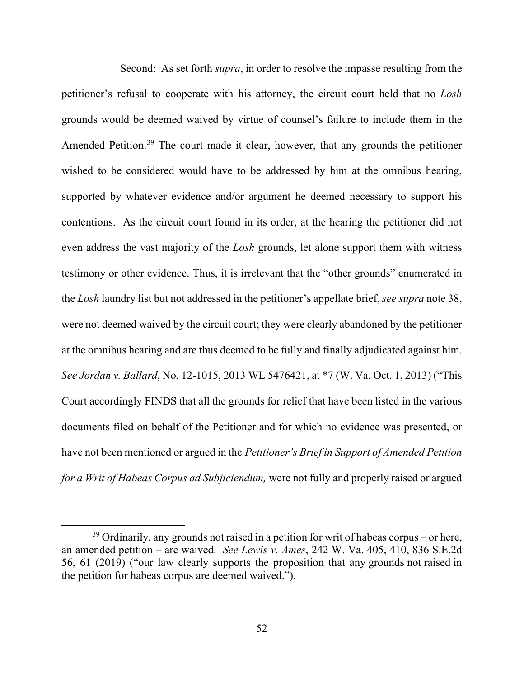Second: As set forth *supra*, in order to resolve the impasse resulting from the petitioner's refusal to cooperate with his attorney, the circuit court held that no *Losh* grounds would be deemed waived by virtue of counsel's failure to include them in the Amended Petition.[39](#page-60-0) The court made it clear, however, that any grounds the petitioner wished to be considered would have to be addressed by him at the omnibus hearing, supported by whatever evidence and/or argument he deemed necessary to support his contentions. As the circuit court found in its order, at the hearing the petitioner did not even address the vast majority of the *Losh* grounds, let alone support them with witness testimony or other evidence. Thus, it is irrelevant that the "other grounds" enumerated in the *Losh* laundry list but not addressed in the petitioner's appellate brief, *see supra* note 38, were not deemed waived by the circuit court; they were clearly abandoned by the petitioner at the omnibus hearing and are thus deemed to be fully and finally adjudicated against him. *See Jordan v. Ballard*, No. 12-1015, 2013 WL 5476421, at \*7 (W. Va. Oct. 1, 2013) ("This Court accordingly FINDS that all the grounds for relief that have been listed in the various documents filed on behalf of the Petitioner and for which no evidence was presented, or have not been mentioned or argued in the *Petitioner's Brief in Support of Amended Petition for a Writ of Habeas Corpus ad Subjiciendum,* were not fully and properly raised or argued

<span id="page-60-0"></span> $39$  Ordinarily, any grounds not raised in a petition for writ of habeas corpus – or here, an amended petition – are waived. *See Lewis v. Ames*, 242 W. Va. 405, 410, 836 S.E.2d 56, 61 (2019) ("our law clearly supports the proposition that any grounds not raised in the petition for habeas corpus are deemed waived.").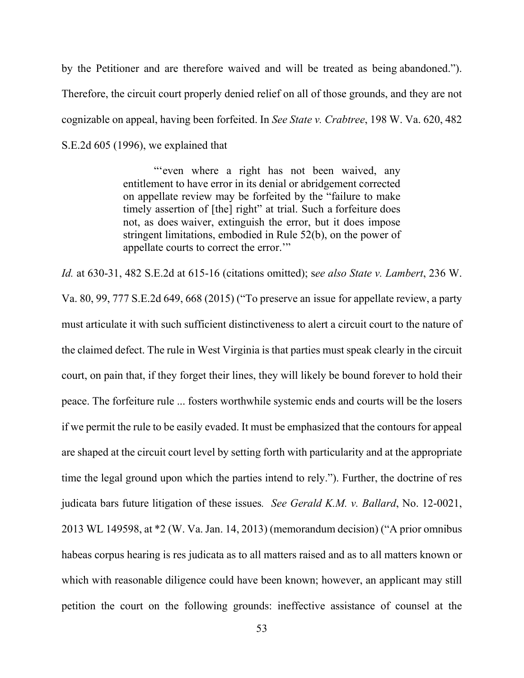by the Petitioner and are therefore waived and will be treated as being abandoned."). Therefore, the circuit court properly denied relief on all of those grounds, and they are not cognizable on appeal, having been forfeited. In *See State v. Crabtree*, 198 W. Va. 620, 482 S.E.2d 605 (1996), we explained that

> "'even where a right has not been waived, any entitlement to have error in its denial or abridgement corrected on appellate review may be forfeited by the "failure to make timely assertion of [the] right" at trial. Such a forfeiture does not, as does waiver, extinguish the error, but it does impose stringent limitations, embodied in Rule 52(b), on the power of appellate courts to correct the error."

*Id.* at 630-31, 482 S.E.2d at 615-16 (citations omitted); s*ee also State v. Lambert*, 236 W. Va. 80, 99, 777 S.E.2d 649, 668 (2015) ("To preserve an issue for appellate review, a party must articulate it with such sufficient distinctiveness to alert a circuit court to the nature of the claimed defect. The rule in West Virginia is that parties must speak clearly in the circuit court, on pain that, if they forget their lines, they will likely be bound forever to hold their peace. The forfeiture rule ... fosters worthwhile systemic ends and courts will be the losers if we permit the rule to be easily evaded. It must be emphasized that the contours for appeal are shaped at the circuit court level by setting forth with particularity and at the appropriate time the legal ground upon which the parties intend to rely."). Further, the doctrine of res judicata bars future litigation of these issues*. See Gerald K.M. v. Ballard*, No. 12-0021, 2013 WL 149598, at \*2 (W. Va. Jan. 14, 2013) (memorandum decision) ("A prior omnibus habeas corpus hearing is res judicata as to all matters raised and as to all matters known or which with reasonable diligence could have been known; however, an applicant may still petition the court on the following grounds: ineffective assistance of counsel at the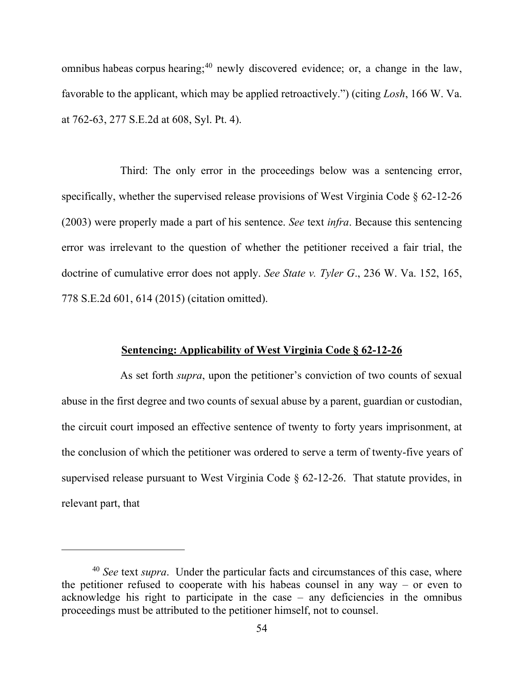omnibus habeas corpus hearing;<sup>[40](#page-62-0)</sup> newly discovered evidence; or, a change in the law, favorable to the applicant, which may be applied retroactively.") (citing *Losh*, 166 W. Va. at 762-63, 277 S.E.2d at 608, Syl. Pt. 4).

 Third: The only error in the proceedings below was a sentencing error, specifically, whether the supervised release provisions of West Virginia Code § 62-12-26 (2003) were properly made a part of his sentence. *See* text *infra*. Because this sentencing error was irrelevant to the question of whether the petitioner received a fair trial, the doctrine of cumulative error does not apply. *See State v. Tyler G*., 236 W. Va. 152, 165, 778 S.E.2d 601, 614 (2015) (citation omitted).

# **Sentencing: Applicability of West Virginia Code § 62-12-26**

 As set forth *supra*, upon the petitioner's conviction of two counts of sexual abuse in the first degree and two counts of sexual abuse by a parent, guardian or custodian, the circuit court imposed an effective sentence of twenty to forty years imprisonment, at the conclusion of which the petitioner was ordered to serve a term of twenty-five years of supervised release pursuant to West Virginia Code § 62-12-26. That statute provides, in relevant part, that

<span id="page-62-0"></span><sup>40</sup> *See* text *supra*. Under the particular facts and circumstances of this case, where the petitioner refused to cooperate with his habeas counsel in any way  $-$  or even to acknowledge his right to participate in the case  $-$  any deficiencies in the omnibus proceedings must be attributed to the petitioner himself, not to counsel.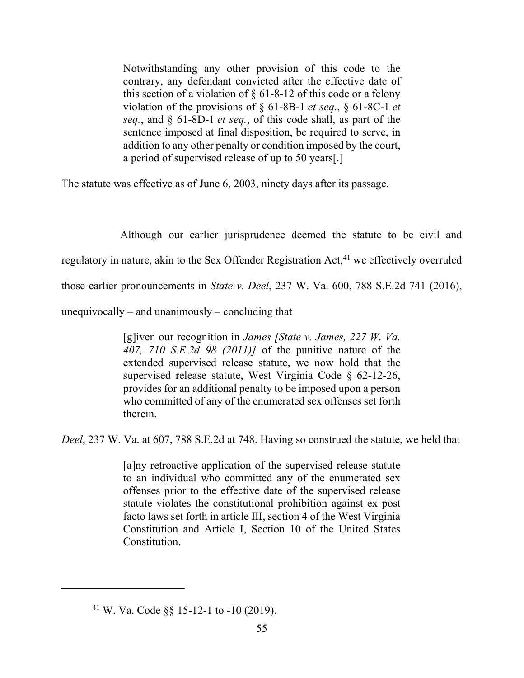Notwithstanding any other provision of this code to the contrary, any defendant convicted after the effective date of this section of a violation of  $\S$  61-8-12 of this code or a felony violation of the provisions of § 61-8B-1 *et seq.*, § 61-8C-1 *et seq.*, and § 61-8D-1 *et seq.*, of this code shall, as part of the sentence imposed at final disposition, be required to serve, in addition to any other penalty or condition imposed by the court, a period of supervised release of up to 50 years[.]

The statute was effective as of June 6, 2003, ninety days after its passage.

 Although our earlier jurisprudence deemed the statute to be civil and regulatory in nature, akin to the Sex Offender Registration Act,  $41$  we effectively overruled those earlier pronouncements in *State v. Deel*, 237 W. Va. 600, 788 S.E.2d 741 (2016), unequivocally  $-$  and unanimously  $-$  concluding that

> [g]iven our recognition in *James [State v. James, 227 W. Va. 407, 710 S.E.2d 98 (2011)]* of the punitive nature of the extended supervised release statute, we now hold that the supervised release statute, West Virginia Code § 62-12-26, provides for an additional penalty to be imposed upon a person who committed of any of the enumerated sex offenses set forth therein.

*Deel*, 237 W. Va. at 607, 788 S.E.2d at 748. Having so construed the statute, we held that

[a]ny retroactive application of the supervised release statute to an individual who committed any of the enumerated sex offenses prior to the effective date of the supervised release statute violates the constitutional prohibition against ex post facto laws set forth in article III, section 4 of the West Virginia Constitution and Article I, Section 10 of the United States Constitution.

<span id="page-63-0"></span><sup>&</sup>lt;sup>41</sup> W. Va. Code §§ 15-12-1 to -10 (2019).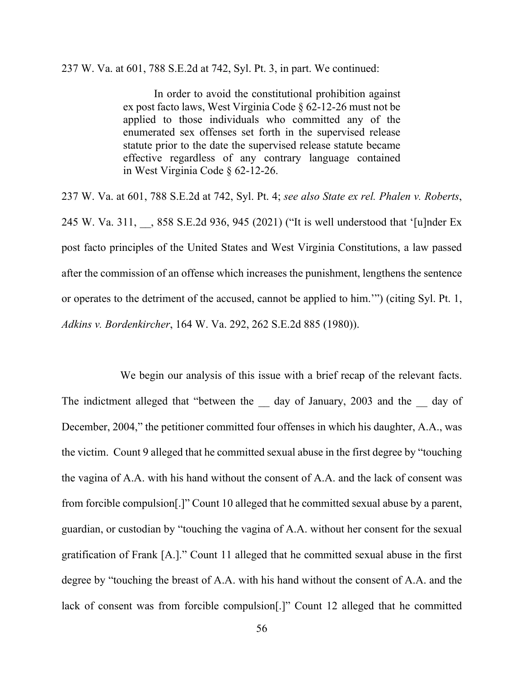237 W. Va. at 601, 788 S.E.2d at 742, Syl. Pt. 3, in part. We continued:

In order to avoid the constitutional prohibition against ex post facto laws, West Virginia Code § 62-12-26 must not be applied to those individuals who committed any of the enumerated sex offenses set forth in the supervised release statute prior to the date the supervised release statute became effective regardless of any contrary language contained in West Virginia Code § 62-12-26.

237 W. Va. at 601, 788 S.E.2d at 742, Syl. Pt. 4; *see also State ex rel. Phalen v. Roberts*, 245 W. Va. 311, , 858 S.E.2d 936, 945 (2021) ("It is well understood that '[u]nder Ex post facto principles of the United States and West Virginia Constitutions, a law passed after the commission of an offense which increases the punishment, lengthens the sentence or operates to the detriment of the accused, cannot be applied to him.'") (citing Syl. Pt. 1, *Adkins v. Bordenkircher*, 164 W. Va. 292, 262 S.E.2d 885 (1980)).

 We begin our analysis of this issue with a brief recap of the relevant facts. The indictment alleged that "between the day of January, 2003 and the day of December, 2004," the petitioner committed four offenses in which his daughter, A.A., was the victim. Count 9 alleged that he committed sexual abuse in the first degree by "touching the vagina of A.A. with his hand without the consent of A.A. and the lack of consent was from forcible compulsion[.]" Count 10 alleged that he committed sexual abuse by a parent, guardian, or custodian by "touching the vagina of A.A. without her consent for the sexual gratification of Frank [A.]." Count 11 alleged that he committed sexual abuse in the first degree by "touching the breast of A.A. with his hand without the consent of A.A. and the lack of consent was from forcible compulsion[.]" Count 12 alleged that he committed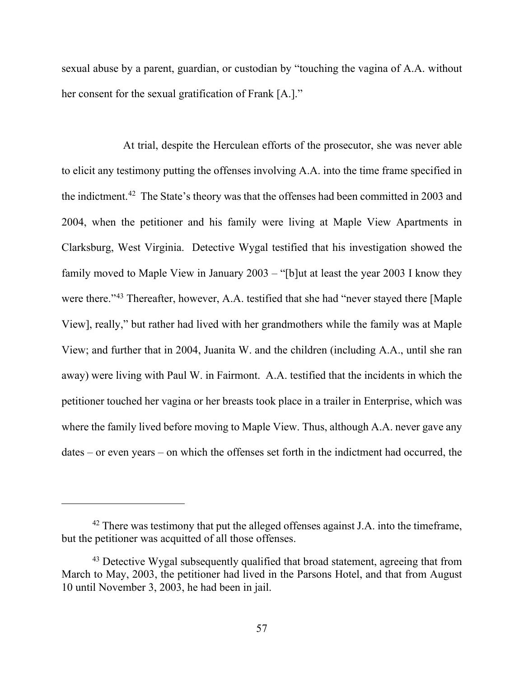sexual abuse by a parent, guardian, or custodian by "touching the vagina of A.A. without her consent for the sexual gratification of Frank [A.]."

At trial, despite the Herculean efforts of the prosecutor, she was never able to elicit any testimony putting the offenses involving A.A. into the time frame specified in the indictment.[42](#page-65-0) The State's theory was that the offenses had been committed in 2003 and 2004, when the petitioner and his family were living at Maple View Apartments in Clarksburg, West Virginia. Detective Wygal testified that his investigation showed the family moved to Maple View in January  $2003 -$  "[b]ut at least the year 2003 I know they were there."<sup>[43](#page-65-1)</sup> Thereafter, however, A.A. testified that she had "never stayed there [Maple View], really," but rather had lived with her grandmothers while the family was at Maple View; and further that in 2004, Juanita W. and the children (including A.A., until she ran away) were living with Paul W. in Fairmont. A.A. testified that the incidents in which the petitioner touched her vagina or her breasts took place in a trailer in Enterprise, which was where the family lived before moving to Maple View. Thus, although A.A. never gave any  $dates - or even years - on which the offenses set forth in the indictment had occurred, the$ 

<span id="page-65-0"></span> $42$  There was testimony that put the alleged offenses against J.A. into the timeframe, but the petitioner was acquitted of all those offenses.

<span id="page-65-1"></span><sup>&</sup>lt;sup>43</sup> Detective Wygal subsequently qualified that broad statement, agreeing that from March to May, 2003, the petitioner had lived in the Parsons Hotel, and that from August 10 until November 3, 2003, he had been in jail.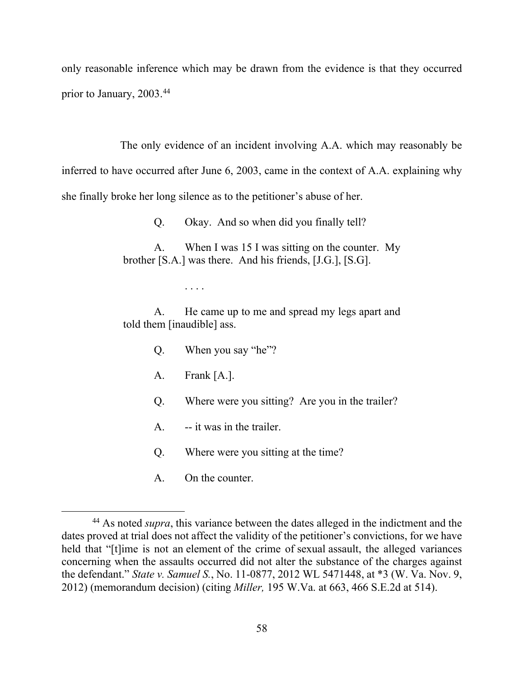only reasonable inference which may be drawn from the evidence is that they occurred prior to January, 2003.[44](#page-66-0)

The only evidence of an incident involving A.A. which may reasonably be

inferred to have occurred after June 6, 2003, came in the context of A.A. explaining why she finally broke her long silence as to the petitioner's abuse of her.

Q. Okay. And so when did you finally tell?

A. When I was 15 I was sitting on the counter. My brother [S.A.] was there. And his friends, [J.G.], [S.G].

. . . .

A. He came up to me and spread my legs apart and told them [inaudible] ass.

- Q. When you say "he"?
- A. Frank [A.].
- Q. Where were you sitting? Are you in the trailer?
- A. -- it was in the trailer.
- Q. Where were you sitting at the time?
- A. On the counter.

<span id="page-66-0"></span><sup>44</sup> As noted *supra*, this variance between the dates alleged in the indictment and the dates proved at trial does not affect the validity of the petitioner's convictions, for we have held that "[t]ime is not an element of the crime of sexual assault, the alleged variances concerning when the assaults occurred did not alter the substance of the charges against the defendant." *State v. Samuel S.*, No. 11-0877, 2012 WL 5471448, at \*3 (W. Va. Nov. 9, 2012) (memorandum decision) (citing *Miller,* 195 W.Va. at 663, 466 S.E.2d at 514).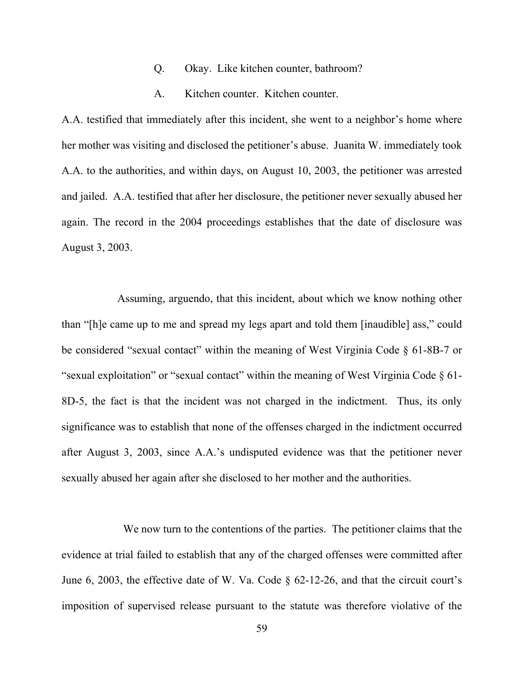### Q. Okay. Like kitchen counter, bathroom?

### A. Kitchen counter. Kitchen counter.

A.A. testified that immediately after this incident, she went to a neighbor's home where her mother was visiting and disclosed the petitioner's abuse. Juanita W. immediately took A.A. to the authorities, and within days, on August 10, 2003, the petitioner was arrested and jailed. A.A. testified that after her disclosure, the petitioner never sexually abused her again. The record in the 2004 proceedings establishes that the date of disclosure was August 3, 2003.

 Assuming, arguendo, that this incident, about which we know nothing other than "[h]e came up to me and spread my legs apart and told them [inaudible] ass," could be considered "sexual contact" within the meaning of West Virginia Code § 61-8B-7 or "sexual exploitation" or "sexual contact" within the meaning of West Virginia Code § 61- 8D-5, the fact is that the incident was not charged in the indictment. Thus, its only significance was to establish that none of the offenses charged in the indictment occurred after August 3, 2003, since A.A.'s undisputed evidence was that the petitioner never sexually abused her again after she disclosed to her mother and the authorities.

 We now turn to the contentions of the parties. The petitioner claims that the evidence at trial failed to establish that any of the charged offenses were committed after June 6, 2003, the effective date of W. Va. Code § 62-12-26, and that the circuit court's imposition of supervised release pursuant to the statute was therefore violative of the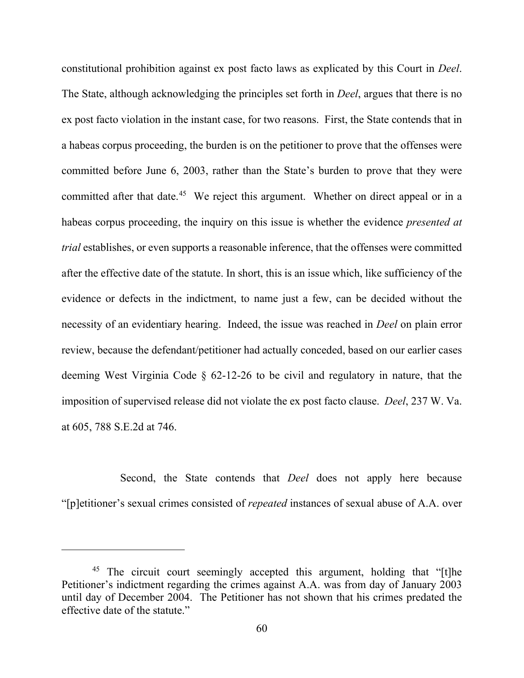constitutional prohibition against ex post facto laws as explicated by this Court in *Deel*. The State, although acknowledging the principles set forth in *Deel*, argues that there is no ex post facto violation in the instant case, for two reasons. First, the State contends that in a habeas corpus proceeding, the burden is on the petitioner to prove that the offenses were committed before June 6, 2003, rather than the State's burden to prove that they were committed after that date.<sup>45</sup> We reject this argument. Whether on direct appeal or in a habeas corpus proceeding, the inquiry on this issue is whether the evidence *presented at trial* establishes, or even supports a reasonable inference, that the offenses were committed after the effective date of the statute. In short, this is an issue which, like sufficiency of the evidence or defects in the indictment, to name just a few, can be decided without the necessity of an evidentiary hearing. Indeed, the issue was reached in *Deel* on plain error review, because the defendant/petitioner had actually conceded, based on our earlier cases deeming West Virginia Code § 62-12-26 to be civil and regulatory in nature, that the imposition of supervised release did not violate the ex post facto clause. *Deel*, 237 W. Va. at 605, 788 S.E.2d at 746.

 Second, the State contends that *Deel* does not apply here because "[p]etitioner's sexual crimes consisted of *repeated* instances of sexual abuse of A.A. over

<span id="page-68-0"></span><sup>&</sup>lt;sup>45</sup> The circuit court seemingly accepted this argument, holding that "[t]he Petitioner's indictment regarding the crimes against A.A. was from day of January 2003 until day of December 2004. The Petitioner has not shown that his crimes predated the effective date of the statute."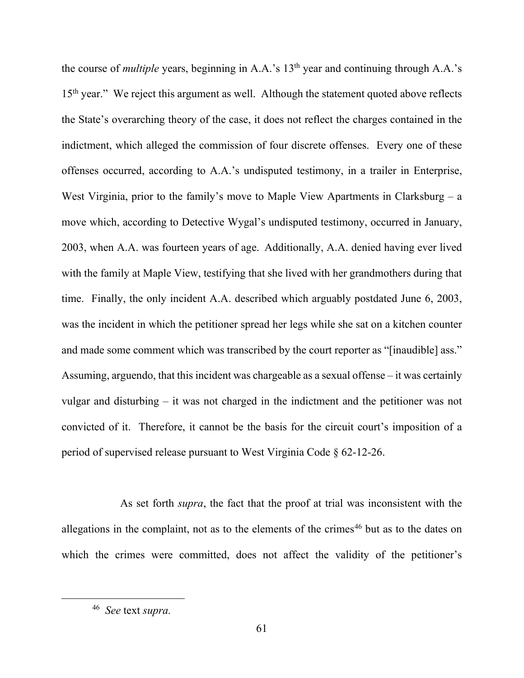the course of *multiple* years, beginning in A.A.'s 13<sup>th</sup> year and continuing through A.A.'s 15<sup>th</sup> year." We reject this argument as well. Although the statement quoted above reflects the State's overarching theory of the case, it does not reflect the charges contained in the indictment, which alleged the commission of four discrete offenses. Every one of these offenses occurred, according to A.A.'s undisputed testimony, in a trailer in Enterprise, West Virginia, prior to the family's move to Maple View Apartments in Clarksburg  $-$  a move which, according to Detective Wygal's undisputed testimony, occurred in January, 2003, when A.A. was fourteen years of age. Additionally, A.A. denied having ever lived with the family at Maple View, testifying that she lived with her grandmothers during that time. Finally, the only incident A.A. described which arguably postdated June 6, 2003, was the incident in which the petitioner spread her legs while she sat on a kitchen counter and made some comment which was transcribed by the court reporter as "[inaudible] ass." Assuming, arguendo, that this incident was chargeable as a sexual offense  $-$  it was certainly vulgar and disturbing  $-$  it was not charged in the indictment and the petitioner was not convicted of it. Therefore, it cannot be the basis for the circuit court's imposition of a period of supervised release pursuant to West Virginia Code § 62-12-26.

 As set forth *supra*, the fact that the proof at trial was inconsistent with the allegations in the complaint, not as to the elements of the crimes<sup>[46](#page-69-0)</sup> but as to the dates on which the crimes were committed, does not affect the validity of the petitioner's

<span id="page-69-0"></span><sup>46</sup> *See* text *supra.*